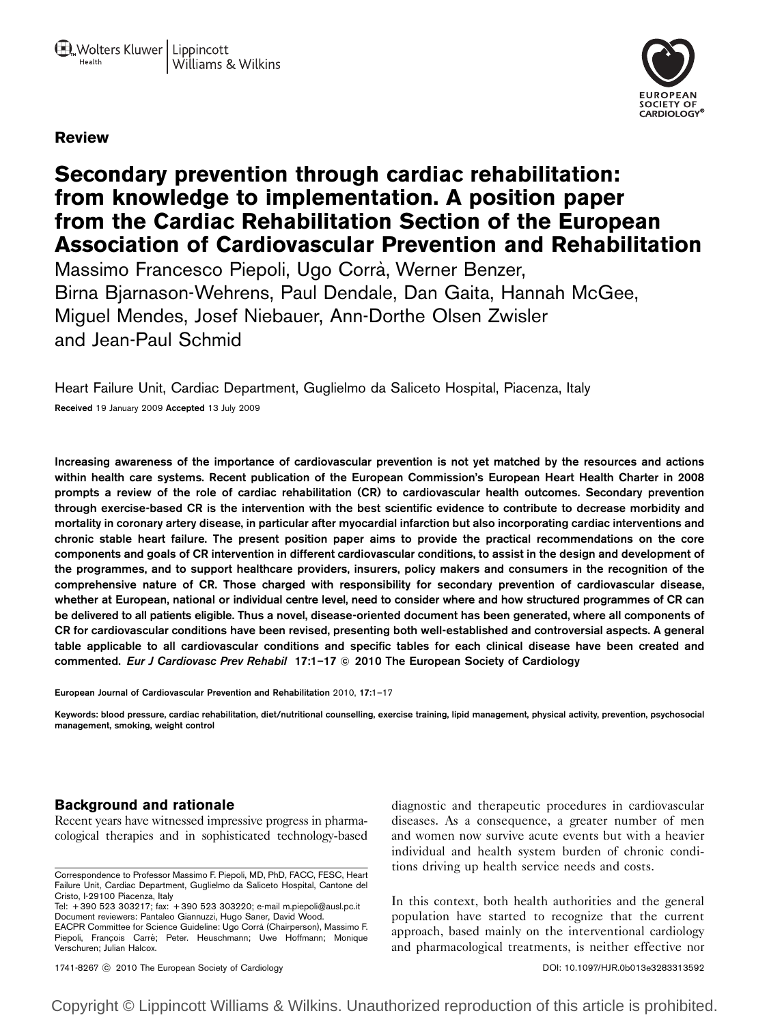Review



# Secondary prevention through cardiac rehabilitation: from knowledge to implementation. A position paper from the Cardiac Rehabilitation Section of the European Association of Cardiovascular Prevention and Rehabilitation

Massimo Francesco Piepoli, Ugo Corrà, Werner Benzer, Birna Bjarnason-Wehrens, Paul Dendale, Dan Gaita, Hannah McGee, Miguel Mendes, Josef Niebauer, Ann-Dorthe Olsen Zwisler and Jean-Paul Schmid

Heart Failure Unit, Cardiac Department, Guglielmo da Saliceto Hospital, Piacenza, Italy Received 19 January 2009 Accepted 13 July 2009

Increasing awareness of the importance of cardiovascular prevention is not yet matched by the resources and actions within health care systems. Recent publication of the European Commission's European Heart Health Charter in 2008 prompts a review of the role of cardiac rehabilitation (CR) to cardiovascular health outcomes. Secondary prevention through exercise-based CR is the intervention with the best scientific evidence to contribute to decrease morbidity and mortality in coronary artery disease, in particular after myocardial infarction but also incorporating cardiac interventions and chronic stable heart failure. The present position paper aims to provide the practical recommendations on the core components and goals of CR intervention in different cardiovascular conditions, to assist in the design and development of the programmes, and to support healthcare providers, insurers, policy makers and consumers in the recognition of the comprehensive nature of CR. Those charged with responsibility for secondary prevention of cardiovascular disease, whether at European, national or individual centre level, need to consider where and how structured programmes of CR can be delivered to all patients eligible. Thus a novel, disease-oriented document has been generated, where all components of CR for cardiovascular conditions have been revised, presenting both well-established and controversial aspects. A general table applicable to all cardiovascular conditions and specific tables for each clinical disease have been created and commented. *Eur J Cardiovasc Prev Rehabil* 17:1-17 © 2010 The European Society of Cardiology

European Journal of Cardiovascular Prevention and Rehabilitation 2010, 17:1–17

Keywords: blood pressure, cardiac rehabilitation, diet/nutritional counselling, exercise training, lipid management, physical activity, prevention, psychosocial management, smoking, weight control

# Background and rationale

Recent years have witnessed impressive progress in pharmacological therapies and in sophisticated technology-based

Tel: + 390 523 303217; fax: + 390 523 303220; e-mail m.piepoli@ausl.pc.it Document reviewers: Pantaleo Giannuzzi, Hugo Saner, David Wood. EACPR Committee for Science Guideline: Ugo Corrà (Chairperson), Massimo F. Piepoli, François Carré; Peter. Heuschmann; Uwe Hoffmann; Monique Verschuren; Julian Halcox.

diagnostic and therapeutic procedures in cardiovascular diseases. As a consequence, a greater number of men and women now survive acute events but with a heavier individual and health system burden of chronic conditions driving up health service needs and costs.

In this context, both health authorities and the general population have started to recognize that the current approach, based mainly on the interventional cardiology and pharmacological treatments, is neither effective nor

1741-8267 © 2010 The European Society of Cardiology **DOI: 10.1097/HJR.0b013e3283313592** 

Correspondence to Professor Massimo F. Piepoli, MD, PhD, FACC, FESC, Heart Failure Unit, Cardiac Department, Guglielmo da Saliceto Hospital, Cantone del Cristo, I-29100 Piacenza, Italy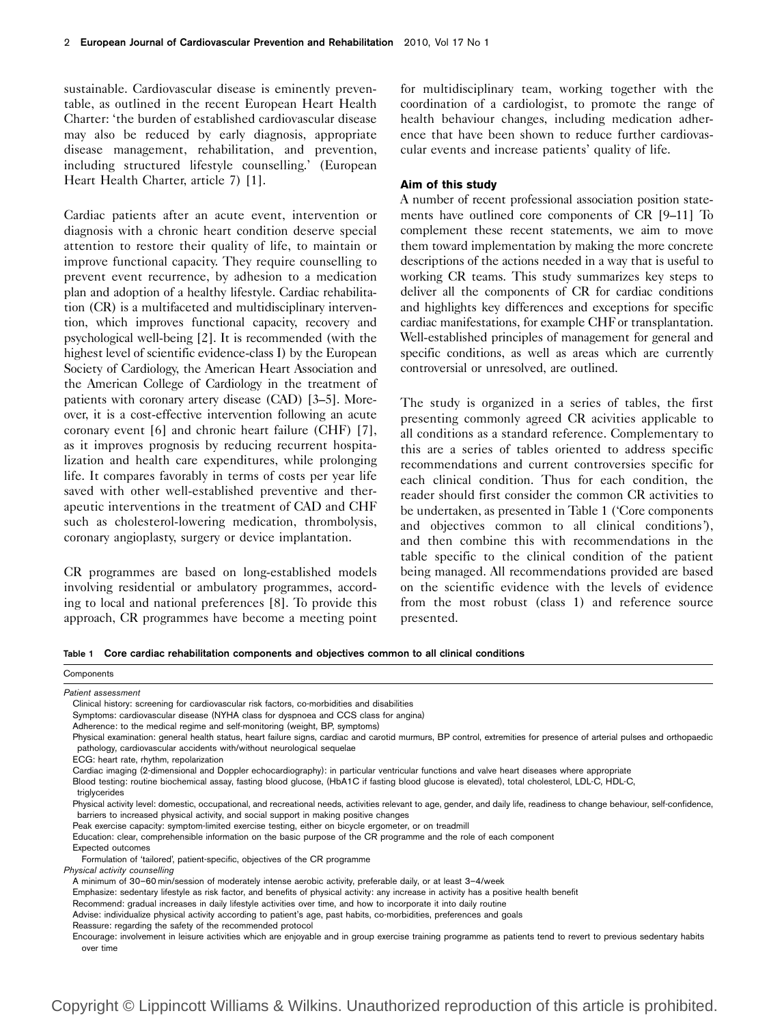sustainable. Cardiovascular disease is eminently preventable, as outlined in the recent European Heart Health Charter: 'the burden of established cardiovascular disease may also be reduced by early diagnosis, appropriate disease management, rehabilitation, and prevention, including structured lifestyle counselling.' (European Heart Health Charter, article 7) [1].

Cardiac patients after an acute event, intervention or diagnosis with a chronic heart condition deserve special attention to restore their quality of life, to maintain or improve functional capacity. They require counselling to prevent event recurrence, by adhesion to a medication plan and adoption of a healthy lifestyle. Cardiac rehabilitation (CR) is a multifaceted and multidisciplinary intervention, which improves functional capacity, recovery and psychological well-being [2]. It is recommended (with the highest level of scientific evidence-class I) by the European Society of Cardiology, the American Heart Association and the American College of Cardiology in the treatment of patients with coronary artery disease (CAD) [3–5]. Moreover, it is a cost-effective intervention following an acute coronary event [6] and chronic heart failure (CHF) [7], as it improves prognosis by reducing recurrent hospitalization and health care expenditures, while prolonging life. It compares favorably in terms of costs per year life saved with other well-established preventive and therapeutic interventions in the treatment of CAD and CHF such as cholesterol-lowering medication, thrombolysis, coronary angioplasty, surgery or device implantation.

CR programmes are based on long-established models involving residential or ambulatory programmes, according to local and national preferences [8]. To provide this approach, CR programmes have become a meeting point for multidisciplinary team, working together with the coordination of a cardiologist, to promote the range of health behaviour changes, including medication adherence that have been shown to reduce further cardiovascular events and increase patients' quality of life.

## Aim of this study

A number of recent professional association position statements have outlined core components of CR [9–11] To complement these recent statements, we aim to move them toward implementation by making the more concrete descriptions of the actions needed in a way that is useful to working CR teams. This study summarizes key steps to deliver all the components of CR for cardiac conditions and highlights key differences and exceptions for specific cardiac manifestations, for example CHF or transplantation. Well-established principles of management for general and specific conditions, as well as areas which are currently controversial or unresolved, are outlined.

The study is organized in a series of tables, the first presenting commonly agreed CR acivities applicable to all conditions as a standard reference. Complementary to this are a series of tables oriented to address specific recommendations and current controversies specific for each clinical condition. Thus for each condition, the reader should first consider the common CR activities to be undertaken, as presented in Table 1 ('Core components and objectives common to all clinical conditions'), and then combine this with recommendations in the table specific to the clinical condition of the patient being managed. All recommendations provided are based on the scientific evidence with the levels of evidence from the most robust (class 1) and reference source presented.

Table 1 Core cardiac rehabilitation components and objectives common to all clinical conditions

#### **Components**

#### Patient assessment

- Clinical history: screening for cardiovascular risk factors, co-morbidities and disabilities
- Symptoms: cardiovascular disease (NYHA class for dyspnoea and CCS class for angina)
- Adherence: to the medical regime and self-monitoring (weight, BP, symptoms)

Blood testing: routine biochemical assay, fasting blood glucose, (HbA1C if fasting blood glucose is elevated), total cholesterol, LDL-C, HDL-C,

Physical examination: general health status, heart failure signs, cardiac and carotid murmurs, BP control, extremities for presence of arterial pulses and orthopaedic pathology, cardiovascular accidents with/without neurological sequelae

ECG: heart rate, rhythm, repolarization

Cardiac imaging (2-dimensional and Doppler echocardiography): in particular ventricular functions and valve heart diseases where appropriate

triglycerides

Physical activity level: domestic, occupational, and recreational needs, activities relevant to age, gender, and daily life, readiness to change behaviour, self-confidence, barriers to increased physical activity, and social support in making positive changes

Peak exercise capacity: symptom-limited exercise testing, either on bicycle ergometer, or on treadmill

Education: clear, comprehensible information on the basic purpose of the CR programme and the role of each component Expected outcomes

Formulation of 'tailored', patient-specific, objectives of the CR programme

Physical activity counselling

A minimum of 30–60 min/session of moderately intense aerobic activity, preferable daily, or at least 3–4/week

Emphasize: sedentary lifestyle as risk factor, and benefits of physical activity: any increase in activity has a positive health benefit

Recommend: gradual increases in daily lifestyle activities over time, and how to incorporate it into daily routine

Advise: individualize physical activity according to patient's age, past habits, co-morbidities, preferences and goals

Reassure: regarding the safety of the recommended protocol

Encourage: involvement in leisure activities which are enjoyable and in group exercise training programme as patients tend to revert to previous sedentary habits over time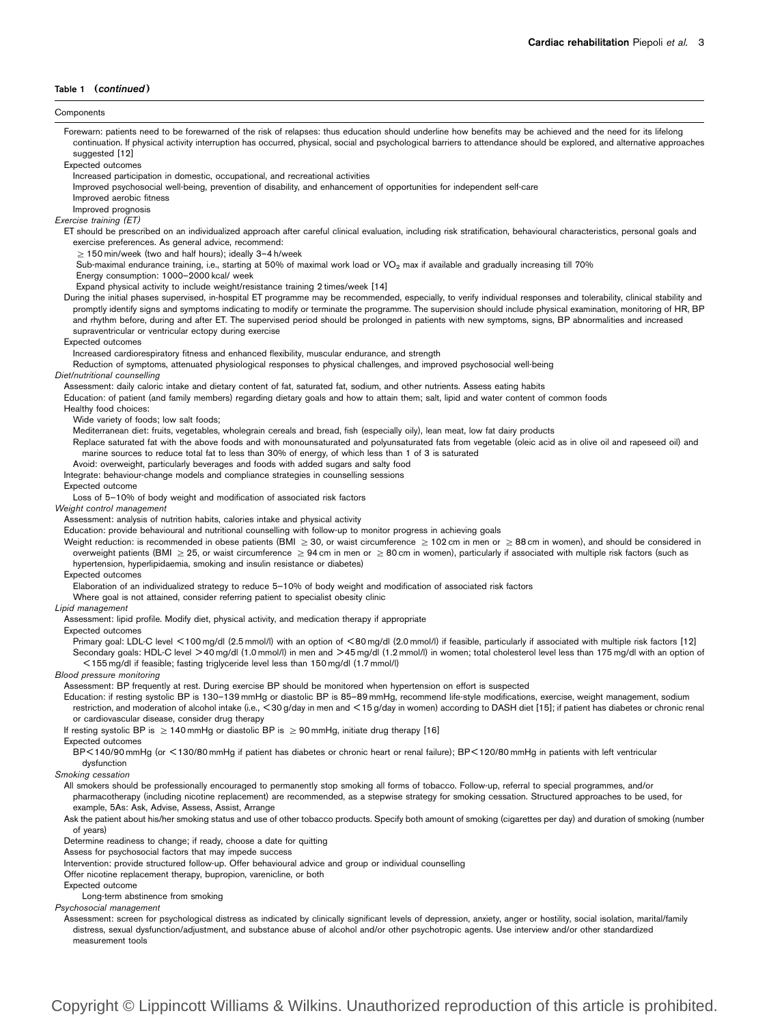## Table 1 (continued)

| Components                                                                                                                                                                                                                                                                                                                                                                                                                                             |
|--------------------------------------------------------------------------------------------------------------------------------------------------------------------------------------------------------------------------------------------------------------------------------------------------------------------------------------------------------------------------------------------------------------------------------------------------------|
| Forewarn: patients need to be forewarned of the risk of relapses: thus education should underline how benefits may be achieved and the need for its lifelong<br>continuation. If physical activity interruption has occurred, physical, social and psychological barriers to attendance should be explored, and alternative approaches                                                                                                                 |
| suggested [12]<br><b>Expected outcomes</b>                                                                                                                                                                                                                                                                                                                                                                                                             |
| Increased participation in domestic, occupational, and recreational activities                                                                                                                                                                                                                                                                                                                                                                         |
| Improved psychosocial well-being, prevention of disability, and enhancement of opportunities for independent self-care<br>Improved aerobic fitness                                                                                                                                                                                                                                                                                                     |
| Improved prognosis                                                                                                                                                                                                                                                                                                                                                                                                                                     |
| Exercise training (ET)<br>ET should be prescribed on an individualized approach after careful clinical evaluation, including risk stratification, behavioural characteristics, personal goals and<br>exercise preferences. As general advice, recommend:                                                                                                                                                                                               |
| $\geq$ 150 min/week (two and half hours); ideally 3-4 h/week                                                                                                                                                                                                                                                                                                                                                                                           |
| Sub-maximal endurance training, i.e., starting at 50% of maximal work load or $VO2$ max if available and gradually increasing till 70%<br>Energy consumption: 1000-2000 kcal/ week                                                                                                                                                                                                                                                                     |
| Expand physical activity to include weight/resistance training 2 times/week [14]<br>During the initial phases supervised, in-hospital ET programme may be recommended, especially, to verify individual responses and tolerability, clinical stability and                                                                                                                                                                                             |
| promptly identify signs and symptoms indicating to modify or terminate the programme. The supervision should include physical examination, monitoring of HR, BP<br>and rhythm before, during and after ET. The supervised period should be prolonged in patients with new symptoms, signs, BP abnormalities and increased<br>supraventricular or ventricular ectopy during exercise                                                                    |
| <b>Expected outcomes</b>                                                                                                                                                                                                                                                                                                                                                                                                                               |
| Increased cardiorespiratory fitness and enhanced flexibility, muscular endurance, and strength                                                                                                                                                                                                                                                                                                                                                         |
| Reduction of symptoms, attenuated physiological responses to physical challenges, and improved psychosocial well-being<br>Diet/nutritional counselling                                                                                                                                                                                                                                                                                                 |
| Assessment: daily caloric intake and dietary content of fat, saturated fat, sodium, and other nutrients. Assess eating habits<br>Education: of patient (and family members) regarding dietary goals and how to attain them; salt, lipid and water content of common foods<br>Healthy food choices:                                                                                                                                                     |
| Wide variety of foods; low salt foods;                                                                                                                                                                                                                                                                                                                                                                                                                 |
| Mediterranean diet: fruits, vegetables, wholegrain cereals and bread, fish (especially oily), lean meat, low fat dairy products<br>Replace saturated fat with the above foods and with monounsaturated and polyunsaturated fats from vegetable (oleic acid as in olive oil and rapeseed oil) and<br>marine sources to reduce total fat to less than 30% of energy, of which less than 1 of 3 is saturated                                              |
| Avoid: overweight, particularly beverages and foods with added sugars and salty food                                                                                                                                                                                                                                                                                                                                                                   |
| Integrate: behaviour-change models and compliance strategies in counselling sessions                                                                                                                                                                                                                                                                                                                                                                   |
| Expected outcome                                                                                                                                                                                                                                                                                                                                                                                                                                       |
| Loss of 5-10% of body weight and modification of associated risk factors<br>Weight control management                                                                                                                                                                                                                                                                                                                                                  |
| Assessment: analysis of nutrition habits, calories intake and physical activity                                                                                                                                                                                                                                                                                                                                                                        |
| Education: provide behavioural and nutritional counselling with follow-up to monitor progress in achieving goals<br>Weight reduction: is recommended in obese patients (BMI $\geq$ 30, or waist circumference $\geq$ 102 cm in men or $\geq$ 88 cm in women), and should be considered in<br>overweight patients (BMI ≥ 25, or waist circumference ≥ 94 cm in men or ≥ 80 cm in women), particularly if associated with multiple risk factors (such as |
| hypertension, hyperlipidaemia, smoking and insulin resistance or diabetes)                                                                                                                                                                                                                                                                                                                                                                             |
| Expected outcomes<br>Elaboration of an individualized strategy to reduce 5-10% of body weight and modification of associated risk factors                                                                                                                                                                                                                                                                                                              |
| Where goal is not attained, consider referring patient to specialist obesity clinic                                                                                                                                                                                                                                                                                                                                                                    |
| Lipid management                                                                                                                                                                                                                                                                                                                                                                                                                                       |
| Assessment: lipid profile. Modify diet, physical activity, and medication therapy if appropriate<br><b>Expected outcomes</b>                                                                                                                                                                                                                                                                                                                           |
| Primary goal: LDL-C level <100 mg/dl (2.5 mmol/l) with an option of <80 mg/dl (2.0 mmol/l) if feasible, particularly if associated with multiple risk factors [12]<br>Secondary goals: HDL-C level >40 mg/dl (1.0 mmol/l) in men and >45 mg/dl (1.2 mmol/l) in women; total cholesterol level less than 175 mg/dl with an option of<br><155 mg/dl if feasible; fasting triglyceride level less than 150 mg/dl (1.7 mmol/l)                             |
| Blood pressure monitoring                                                                                                                                                                                                                                                                                                                                                                                                                              |
| Assessment: BP frequently at rest. During exercise BP should be monitored when hypertension on effort is suspected<br>Education: if resting systolic BP is 130-139 mmHg or diastolic BP is 85-89 mmHg, recommend life-style modifications, exercise, weight management, sodium<br>restriction, and moderation of alcohol intake (i.e., <30 g/day in men and <15 g/day in women) according to DASH diet [15]; if patient has diabetes or chronic renal  |
| or cardiovascular disease, consider drug therapy                                                                                                                                                                                                                                                                                                                                                                                                       |
| If resting systolic BP is $\geq 140$ mmHg or diastolic BP is $\geq 90$ mmHg, initiate drug therapy [16]                                                                                                                                                                                                                                                                                                                                                |
| <b>Expected outcomes</b><br>BP<140/90 mmHg (or <130/80 mmHg if patient has diabetes or chronic heart or renal failure); BP<120/80 mmHg in patients with left ventricular<br>dysfunction                                                                                                                                                                                                                                                                |
| Smoking cessation                                                                                                                                                                                                                                                                                                                                                                                                                                      |
| All smokers should be professionally encouraged to permanently stop smoking all forms of tobacco. Follow-up, referral to special programmes, and/or<br>pharmacotherapy (including nicotine replacement) are recommended, as a stepwise strategy for smoking cessation. Structured approaches to be used, for<br>example, 5As: Ask, Advise, Assess, Assist, Arrange                                                                                     |
| Ask the patient about his/her smoking status and use of other tobacco products. Specify both amount of smoking (cigarettes per day) and duration of smoking (number<br>of years)                                                                                                                                                                                                                                                                       |
| Determine readiness to change; if ready, choose a date for quitting                                                                                                                                                                                                                                                                                                                                                                                    |
| Assess for psychosocial factors that may impede success<br>Intervention: provide structured follow-up. Offer behavioural advice and group or individual counselling                                                                                                                                                                                                                                                                                    |
| Offer nicotine replacement therapy, bupropion, varenicline, or both                                                                                                                                                                                                                                                                                                                                                                                    |
| Expected outcome                                                                                                                                                                                                                                                                                                                                                                                                                                       |
| Long-term abstinence from smoking                                                                                                                                                                                                                                                                                                                                                                                                                      |
| Psychosocial management<br>Assessment: screen for psychological distress as indicated by clinically significant levels of depression, anxiety, anger or hostility, social isolation, marital/family                                                                                                                                                                                                                                                    |
| distress, sexual dysfunction/adjustment, and substance abuse of alcohol and/or other psychotropic agents. Use interview and/or other standardized<br>measurement tools                                                                                                                                                                                                                                                                                 |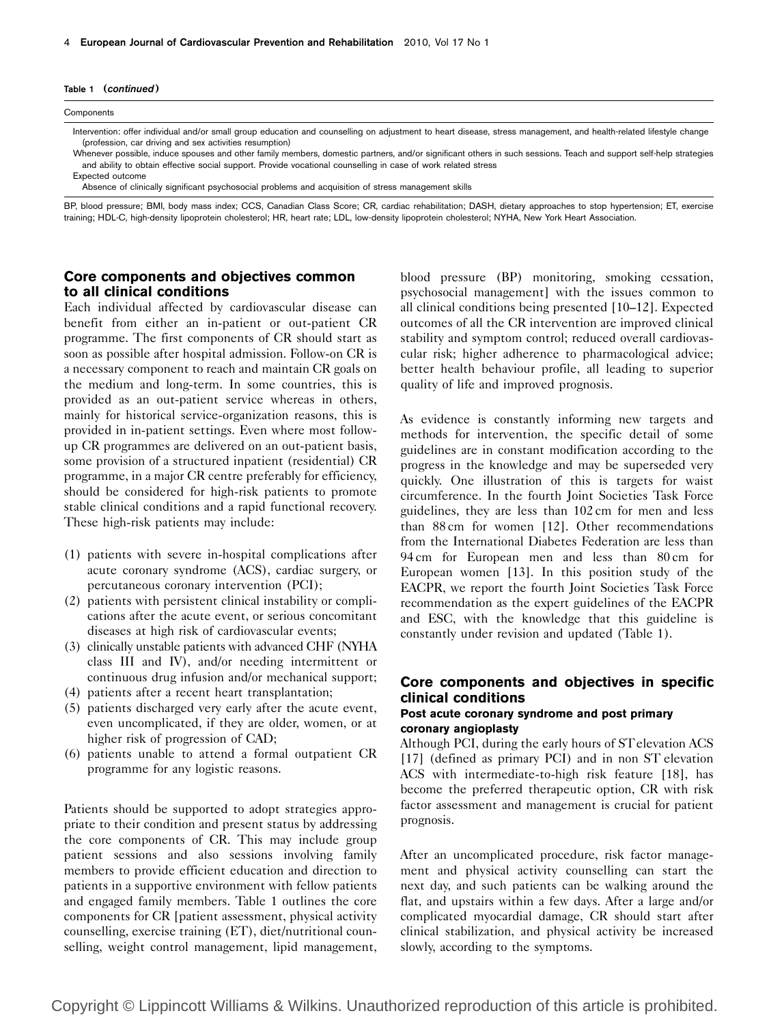| Components                                                                                                                                                                                                                    |
|-------------------------------------------------------------------------------------------------------------------------------------------------------------------------------------------------------------------------------|
| Intervention: offer individual and/or small group education and counselling on adjustment to heart disease, stress management, and health-related lifestyle change<br>(profession, car driving and sex activities resumption) |
| Whenever possible, induce spouses and other family members, domestic partners, and/or significant others in such sessions. Teach and support self-help strategies                                                             |

and ability to obtain effective social support. Provide vocational counselling in case of work related stress Expected outcome

Absence of clinically significant psychosocial problems and acquisition of stress management skills

BP, blood pressure; BMI, body mass index; CCS, Canadian Class Score; CR, cardiac rehabilitation; DASH, dietary approaches to stop hypertension; ET, exercise training; HDL-C, high-density lipoprotein cholesterol; HR, heart rate; LDL, low-density lipoprotein cholesterol; NYHA, New York Heart Association.

# Core components and objectives common to all clinical conditions

Each individual affected by cardiovascular disease can benefit from either an in-patient or out-patient CR programme. The first components of CR should start as soon as possible after hospital admission. Follow-on CR is a necessary component to reach and maintain CR goals on the medium and long-term. In some countries, this is provided as an out-patient service whereas in others, mainly for historical service-organization reasons, this is provided in in-patient settings. Even where most followup CR programmes are delivered on an out-patient basis, some provision of a structured inpatient (residential) CR programme, in a major CR centre preferably for efficiency, should be considered for high-risk patients to promote stable clinical conditions and a rapid functional recovery. These high-risk patients may include:

- (1) patients with severe in-hospital complications after acute coronary syndrome (ACS), cardiac surgery, or percutaneous coronary intervention (PCI);
- (2) patients with persistent clinical instability or complications after the acute event, or serious concomitant diseases at high risk of cardiovascular events;
- (3) clinically unstable patients with advanced CHF (NYHA class III and IV), and/or needing intermittent or continuous drug infusion and/or mechanical support;
- (4) patients after a recent heart transplantation;
- (5) patients discharged very early after the acute event, even uncomplicated, if they are older, women, or at higher risk of progression of CAD;
- (6) patients unable to attend a formal outpatient CR programme for any logistic reasons.

Patients should be supported to adopt strategies appropriate to their condition and present status by addressing the core components of CR. This may include group patient sessions and also sessions involving family members to provide efficient education and direction to patients in a supportive environment with fellow patients and engaged family members. Table 1 outlines the core components for CR [patient assessment, physical activity counselling, exercise training (ET), diet/nutritional counselling, weight control management, lipid management, blood pressure (BP) monitoring, smoking cessation, psychosocial management] with the issues common to all clinical conditions being presented [10–12]. Expected outcomes of all the CR intervention are improved clinical stability and symptom control; reduced overall cardiovascular risk; higher adherence to pharmacological advice; better health behaviour profile, all leading to superior quality of life and improved prognosis.

As evidence is constantly informing new targets and methods for intervention, the specific detail of some guidelines are in constant modification according to the progress in the knowledge and may be superseded very quickly. One illustration of this is targets for waist circumference. In the fourth Joint Societies Task Force guidelines, they are less than 102 cm for men and less than 88 cm for women [12]. Other recommendations from the International Diabetes Federation are less than 94 cm for European men and less than 80 cm for European women [13]. In this position study of the EACPR, we report the fourth Joint Societies Task Force recommendation as the expert guidelines of the EACPR and ESC, with the knowledge that this guideline is constantly under revision and updated (Table 1).

# Core components and objectives in specific clinical conditions

## Post acute coronary syndrome and post primary coronary angioplasty

Although PCI, during the early hours of STelevation ACS [17] (defined as primary PCI) and in non ST elevation ACS with intermediate-to-high risk feature [18], has become the preferred therapeutic option, CR with risk factor assessment and management is crucial for patient prognosis.

After an uncomplicated procedure, risk factor management and physical activity counselling can start the next day, and such patients can be walking around the flat, and upstairs within a few days. After a large and/or complicated myocardial damage, CR should start after clinical stabilization, and physical activity be increased slowly, according to the symptoms.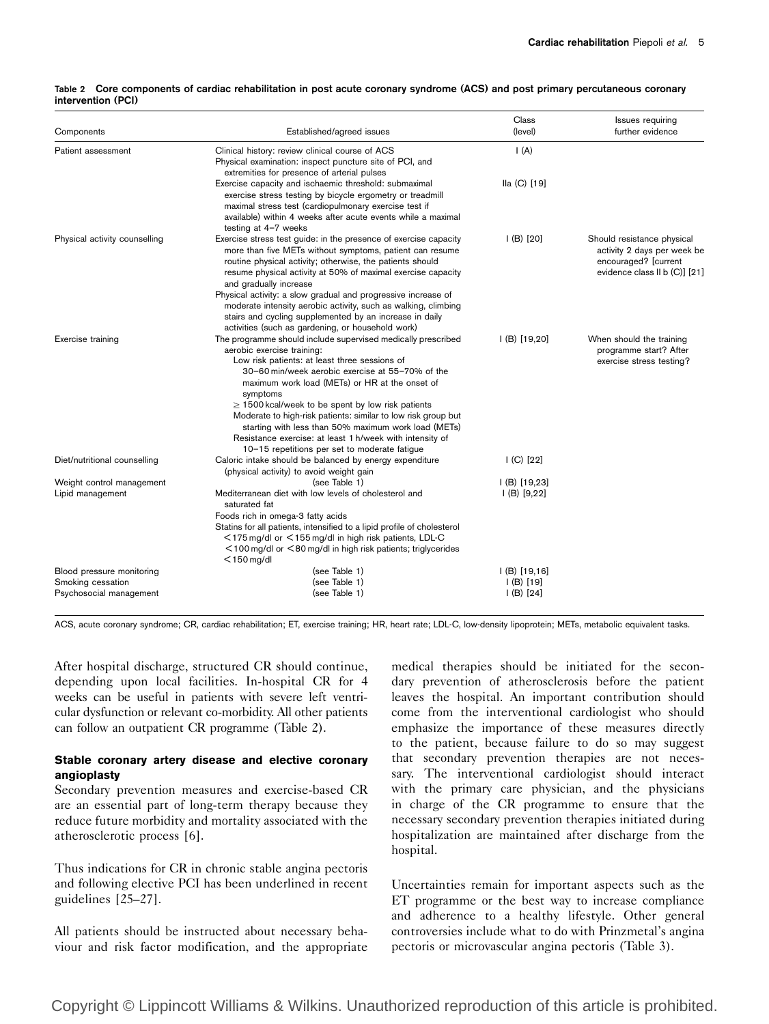#### Table 2 Core components of cardiac rehabilitation in post acute coronary syndrome (ACS) and post primary percutaneous coronary intervention (PCI)

| Components                                                                | Established/agreed issues                                                                                                                                                                                                                                                                                                                                                                                                                                                                                                                                     | Class<br>(level)                           | <b>Issues</b> requiring<br>further evidence                                                                        |
|---------------------------------------------------------------------------|---------------------------------------------------------------------------------------------------------------------------------------------------------------------------------------------------------------------------------------------------------------------------------------------------------------------------------------------------------------------------------------------------------------------------------------------------------------------------------------------------------------------------------------------------------------|--------------------------------------------|--------------------------------------------------------------------------------------------------------------------|
| Patient assessment                                                        | Clinical history: review clinical course of ACS<br>Physical examination: inspect puncture site of PCI, and<br>extremities for presence of arterial pulses                                                                                                                                                                                                                                                                                                                                                                                                     | $\mathsf{I}(\mathsf{A})$                   |                                                                                                                    |
|                                                                           | Exercise capacity and ischaemic threshold: submaximal<br>exercise stress testing by bicycle ergometry or treadmill<br>maximal stress test (cardiopulmonary exercise test if<br>available) within 4 weeks after acute events while a maximal<br>testing at 4-7 weeks                                                                                                                                                                                                                                                                                           | Ila (C) [19]                               |                                                                                                                    |
| Physical activity counselling                                             | Exercise stress test guide: in the presence of exercise capacity<br>more than five METs without symptoms, patient can resume<br>routine physical activity; otherwise, the patients should<br>resume physical activity at 50% of maximal exercise capacity<br>and gradually increase                                                                                                                                                                                                                                                                           | $($ B) $[20]$                              | Should resistance physical<br>activity 2 days per week be<br>encouraged? [current<br>evidence class II b (C)] [21] |
|                                                                           | Physical activity: a slow gradual and progressive increase of<br>moderate intensity aerobic activity, such as walking, climbing<br>stairs and cycling supplemented by an increase in daily<br>activities (such as gardening, or household work)                                                                                                                                                                                                                                                                                                               |                                            |                                                                                                                    |
| Exercise training                                                         | The programme should include supervised medically prescribed<br>aerobic exercise training:<br>Low risk patients: at least three sessions of<br>30-60 min/week aerobic exercise at 55-70% of the<br>maximum work load (METs) or HR at the onset of<br>symptoms<br>$\geq$ 1500 kcal/week to be spent by low risk patients<br>Moderate to high-risk patients: similar to low risk group but<br>starting with less than 50% maximum work load (METs)<br>Resistance exercise: at least 1 h/week with intensity of<br>10-15 repetitions per set to moderate fatigue | $I(B)$ [19,20]                             | When should the training<br>programme start? After<br>exercise stress testing?                                     |
| Diet/nutritional counselling                                              | Caloric intake should be balanced by energy expenditure<br>(physical activity) to avoid weight gain                                                                                                                                                                                                                                                                                                                                                                                                                                                           | 1 (C) [22]                                 |                                                                                                                    |
| Weight control management<br>Lipid management                             | (see Table 1)<br>Mediterranean diet with low levels of cholesterol and<br>saturated fat<br>Foods rich in omega-3 fatty acids<br>Statins for all patients, intensified to a lipid profile of cholesterol<br>$\leq$ 175 mg/dl or $\leq$ 155 mg/dl in high risk patients, LDL-C<br><100 mg/dl or <80 mg/dl in high risk patients; triglycerides<br>$<$ 150 mg/dl                                                                                                                                                                                                 | $I(B)$ [19,23]<br>$I(B)$ [9,22]            |                                                                                                                    |
| Blood pressure monitoring<br>Smoking cessation<br>Psychosocial management | (see Table 1)<br>(see Table 1)<br>(see Table 1)                                                                                                                                                                                                                                                                                                                                                                                                                                                                                                               | $I(B)$ [19,16]<br>$I(B)$ [19]<br>I(B) [24] |                                                                                                                    |

ACS, acute coronary syndrome; CR, cardiac rehabilitation; ET, exercise training; HR, heart rate; LDL-C, low-density lipoprotein; METs, metabolic equivalent tasks.

After hospital discharge, structured CR should continue, depending upon local facilities. In-hospital CR for 4 weeks can be useful in patients with severe left ventricular dysfunction or relevant co-morbidity. All other patients can follow an outpatient CR programme (Table 2).

# Stable coronary artery disease and elective coronary angioplasty

Secondary prevention measures and exercise-based CR are an essential part of long-term therapy because they reduce future morbidity and mortality associated with the atherosclerotic process [6].

Thus indications for CR in chronic stable angina pectoris and following elective PCI has been underlined in recent guidelines [25–27].

All patients should be instructed about necessary behaviour and risk factor modification, and the appropriate medical therapies should be initiated for the secondary prevention of atherosclerosis before the patient leaves the hospital. An important contribution should come from the interventional cardiologist who should emphasize the importance of these measures directly to the patient, because failure to do so may suggest that secondary prevention therapies are not necessary. The interventional cardiologist should interact with the primary care physician, and the physicians in charge of the CR programme to ensure that the necessary secondary prevention therapies initiated during hospitalization are maintained after discharge from the hospital.

Uncertainties remain for important aspects such as the ET programme or the best way to increase compliance and adherence to a healthy lifestyle. Other general controversies include what to do with Prinzmetal's angina pectoris or microvascular angina pectoris (Table 3).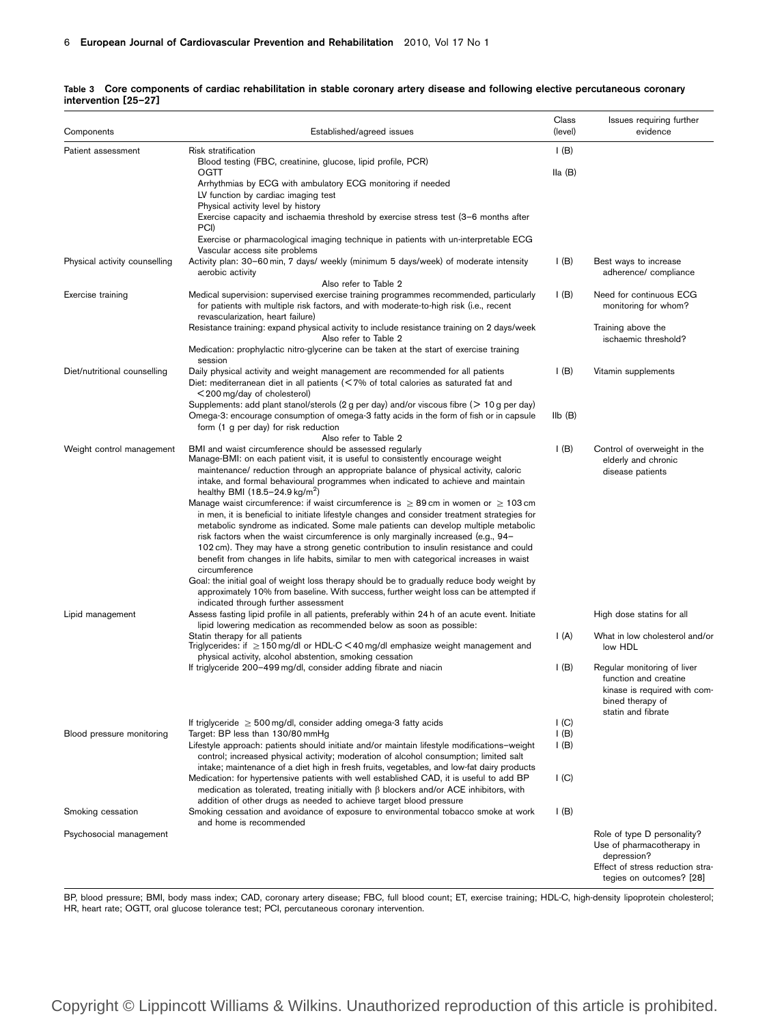#### Table 3 Core components of cardiac rehabilitation in stable coronary artery disease and following elective percutaneous coronary intervention [25–27]

| Components                    | Established/agreed issues                                                                                                                                                                                                                                                                                                                                                                                                                                                                                                                                                                                                                                                                                                                                                                                                                                                                                                                                                                                                                                                                                                                                                          | Class<br>(level)                                                                                             | Issues requiring further<br>evidence                                                                                                    |
|-------------------------------|------------------------------------------------------------------------------------------------------------------------------------------------------------------------------------------------------------------------------------------------------------------------------------------------------------------------------------------------------------------------------------------------------------------------------------------------------------------------------------------------------------------------------------------------------------------------------------------------------------------------------------------------------------------------------------------------------------------------------------------------------------------------------------------------------------------------------------------------------------------------------------------------------------------------------------------------------------------------------------------------------------------------------------------------------------------------------------------------------------------------------------------------------------------------------------|--------------------------------------------------------------------------------------------------------------|-----------------------------------------------------------------------------------------------------------------------------------------|
| Patient assessment            | Risk stratification<br>Blood testing (FBC, creatinine, glucose, lipid profile, PCR)                                                                                                                                                                                                                                                                                                                                                                                                                                                                                                                                                                                                                                                                                                                                                                                                                                                                                                                                                                                                                                                                                                | $\mathsf{I}(\mathsf{B})$                                                                                     |                                                                                                                                         |
|                               | OGTT<br>Arrhythmias by ECG with ambulatory ECG monitoring if needed<br>LV function by cardiac imaging test<br>Physical activity level by history<br>Exercise capacity and ischaemia threshold by exercise stress test (3-6 months after<br>PCI)<br>Exercise or pharmacological imaging technique in patients with un-interpretable ECG                                                                                                                                                                                                                                                                                                                                                                                                                                                                                                                                                                                                                                                                                                                                                                                                                                             | Ila(B)                                                                                                       |                                                                                                                                         |
| Physical activity counselling | Vascular access site problems<br>Activity plan: 30-60 min, 7 days/ weekly (minimum 5 days/week) of moderate intensity<br>aerobic activity                                                                                                                                                                                                                                                                                                                                                                                                                                                                                                                                                                                                                                                                                                                                                                                                                                                                                                                                                                                                                                          | $\mathsf{I}(\mathsf{B})$                                                                                     | Best ways to increase<br>adherence/ compliance                                                                                          |
| Exercise training             | Also refer to Table 2<br>Medical supervision: supervised exercise training programmes recommended, particularly<br>for patients with multiple risk factors, and with moderate-to-high risk (i.e., recent<br>revascularization, heart failure)                                                                                                                                                                                                                                                                                                                                                                                                                                                                                                                                                                                                                                                                                                                                                                                                                                                                                                                                      | $\mathsf{I}(\mathsf{B})$                                                                                     | Need for continuous ECG<br>monitoring for whom?                                                                                         |
|                               | Resistance training: expand physical activity to include resistance training on 2 days/week<br>Also refer to Table 2<br>Medication: prophylactic nitro-glycerine can be taken at the start of exercise training                                                                                                                                                                                                                                                                                                                                                                                                                                                                                                                                                                                                                                                                                                                                                                                                                                                                                                                                                                    |                                                                                                              | Training above the<br>ischaemic threshold?                                                                                              |
| Diet/nutritional counselling  | session<br>Daily physical activity and weight management are recommended for all patients<br>Diet: mediterranean diet in all patients $(< 7\%$ of total calories as saturated fat and<br><200 mg/day of cholesterol)                                                                                                                                                                                                                                                                                                                                                                                                                                                                                                                                                                                                                                                                                                                                                                                                                                                                                                                                                               | $\mathsf{I}(\mathsf{B})$                                                                                     | Vitamin supplements                                                                                                                     |
|                               | Supplements: add plant stanol/sterols (2 g per day) and/or viscous fibre ( $> 10$ g per day)<br>Omega-3: encourage consumption of omega-3 fatty acids in the form of fish or in capsule<br>form (1 g per day) for risk reduction<br>Also refer to Table 2                                                                                                                                                                                                                                                                                                                                                                                                                                                                                                                                                                                                                                                                                                                                                                                                                                                                                                                          | $I\mathsf{lb}$ (B)                                                                                           |                                                                                                                                         |
| Weight control management     | BMI and waist circumference should be assessed regularly<br>Manage-BMI: on each patient visit, it is useful to consistently encourage weight<br>maintenance/ reduction through an appropriate balance of physical activity, caloric<br>intake, and formal behavioural programmes when indicated to achieve and maintain<br>healthy BMI $(18.5-24.9 \text{ kg/m}^2)$<br>Manage waist circumference: if waist circumference is $\geq 89$ cm in women or $\geq 103$ cm<br>in men, it is beneficial to initiate lifestyle changes and consider treatment strategies for<br>metabolic syndrome as indicated. Some male patients can develop multiple metabolic<br>risk factors when the waist circumference is only marginally increased (e.g., 94-<br>102 cm). They may have a strong genetic contribution to insulin resistance and could<br>benefit from changes in life habits, similar to men with categorical increases in waist<br>circumference<br>Goal: the initial goal of weight loss therapy should be to gradually reduce body weight by<br>approximately 10% from baseline. With success, further weight loss can be attempted if<br>indicated through further assessment | $\mathsf{I}(\mathsf{B})$                                                                                     | Control of overweight in the<br>elderly and chronic<br>disease patients                                                                 |
| Lipid management              | Assess fasting lipid profile in all patients, preferably within 24 h of an acute event. Initiate<br>lipid lowering medication as recommended below as soon as possible:<br>Statin therapy for all patients<br>Triglycerides: if $\geq$ 150 mg/dl or HDL-C $\leq$ 40 mg/dl emphasize weight management and                                                                                                                                                                                                                                                                                                                                                                                                                                                                                                                                                                                                                                                                                                                                                                                                                                                                          | $\mathsf{I}(\mathsf{A})$                                                                                     | High dose statins for all<br>What in low cholesterol and/or<br>low HDL                                                                  |
|                               | physical activity, alcohol abstention, smoking cessation<br>If triglyceride 200-499 mg/dl, consider adding fibrate and niacin                                                                                                                                                                                                                                                                                                                                                                                                                                                                                                                                                                                                                                                                                                                                                                                                                                                                                                                                                                                                                                                      | $\mathsf{I}(\mathsf{B})$                                                                                     | Regular monitoring of liver<br>function and creatine<br>kinase is required with com-<br>bined therapy of<br>statin and fibrate          |
| Blood pressure monitoring     | If triglyceride $\geq 500$ mg/dl, consider adding omega-3 fatty acids<br>Target: BP less than 130/80 mmHg<br>Lifestyle approach: patients should initiate and/or maintain lifestyle modifications-weight<br>control; increased physical activity; moderation of alcohol consumption; limited salt<br>intake; maintenance of a diet high in fresh fruits, vegetables, and low-fat dairy products<br>Medication: for hypertensive patients with well established CAD, it is useful to add BP                                                                                                                                                                                                                                                                                                                                                                                                                                                                                                                                                                                                                                                                                         | $\mathsf{I}(\mathsf{C})$<br>$\mathsf{I}(\mathsf{B})$<br>$\mathsf{I}(\mathsf{B})$<br>$\mathsf{I}(\mathsf{C})$ |                                                                                                                                         |
| Smoking cessation             | medication as tolerated, treating initially with $\beta$ blockers and/or ACE inhibitors, with<br>addition of other drugs as needed to achieve target blood pressure<br>Smoking cessation and avoidance of exposure to environmental tobacco smoke at work                                                                                                                                                                                                                                                                                                                                                                                                                                                                                                                                                                                                                                                                                                                                                                                                                                                                                                                          | $\mathsf{I}(\mathsf{B})$                                                                                     |                                                                                                                                         |
| Psychosocial management       | and home is recommended                                                                                                                                                                                                                                                                                                                                                                                                                                                                                                                                                                                                                                                                                                                                                                                                                                                                                                                                                                                                                                                                                                                                                            |                                                                                                              | Role of type D personality?<br>Use of pharmacotherapy in<br>depression?<br>Effect of stress reduction stra-<br>tegies on outcomes? [28] |

BP, blood pressure; BMI, body mass index; CAD, coronary artery disease; FBC, full blood count; ET, exercise training; HDL-C, high-density lipoprotein cholesterol; HR, heart rate; OGTT, oral glucose tolerance test; PCI, percutaneous coronary intervention.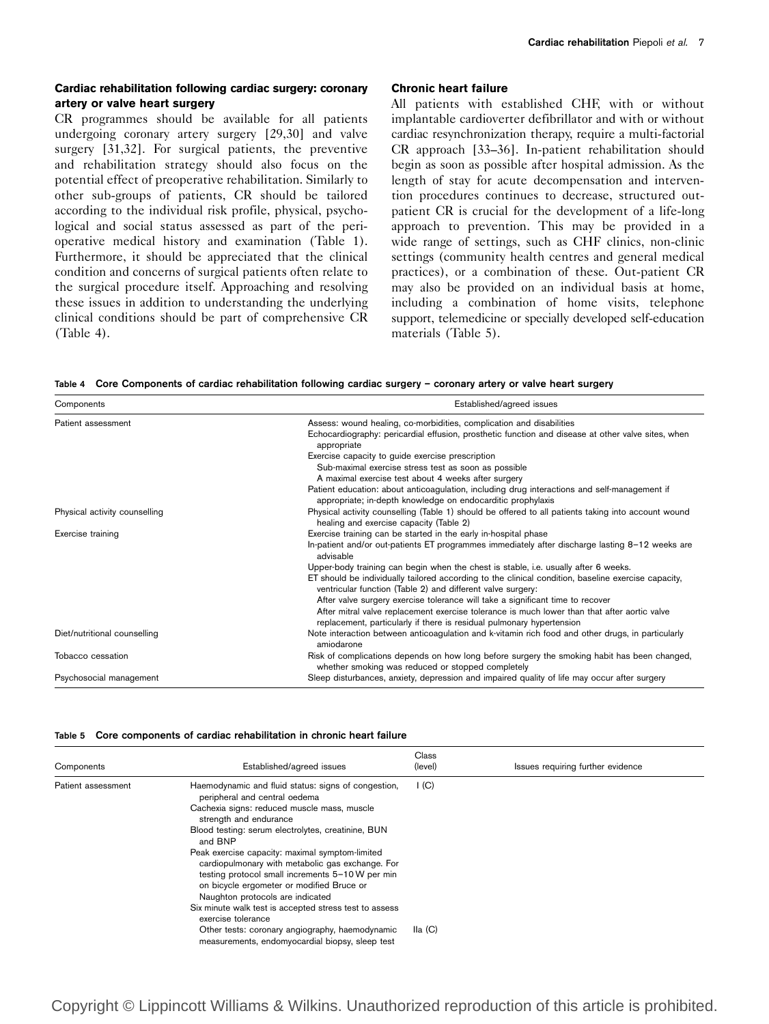# Cardiac rehabilitation following cardiac surgery: coronary artery or valve heart surgery

CR programmes should be available for all patients undergoing coronary artery surgery [29,30] and valve surgery [31,32]. For surgical patients, the preventive and rehabilitation strategy should also focus on the potential effect of preoperative rehabilitation. Similarly to other sub-groups of patients, CR should be tailored according to the individual risk profile, physical, psychological and social status assessed as part of the perioperative medical history and examination (Table 1). Furthermore, it should be appreciated that the clinical condition and concerns of surgical patients often relate to the surgical procedure itself. Approaching and resolving these issues in addition to understanding the underlying clinical conditions should be part of comprehensive CR (Table 4).

## Chronic heart failure

All patients with established CHF, with or without implantable cardioverter defibrillator and with or without cardiac resynchronization therapy, require a multi-factorial CR approach [33–36]. In-patient rehabilitation should begin as soon as possible after hospital admission. As the length of stay for acute decompensation and intervention procedures continues to decrease, structured outpatient CR is crucial for the development of a life-long approach to prevention. This may be provided in a wide range of settings, such as CHF clinics, non-clinic settings (community health centres and general medical practices), or a combination of these. Out-patient CR may also be provided on an individual basis at home, including a combination of home visits, telephone support, telemedicine or specially developed self-education materials (Table 5).

|  |  | Table 4 Core Components of cardiac rehabilitation following cardiac surgery – coronary artery or valve heart surgery |  |  |  |  |  |  |
|--|--|----------------------------------------------------------------------------------------------------------------------|--|--|--|--|--|--|
|--|--|----------------------------------------------------------------------------------------------------------------------|--|--|--|--|--|--|

| Components                    | Established/agreed issues                                                                                                                                             |
|-------------------------------|-----------------------------------------------------------------------------------------------------------------------------------------------------------------------|
| Patient assessment            | Assess: wound healing, co-morbidities, complication and disabilities                                                                                                  |
|                               | Echocardiography: pericardial effusion, prosthetic function and disease at other valve sites, when<br>appropriate                                                     |
|                               | Exercise capacity to guide exercise prescription                                                                                                                      |
|                               | Sub-maximal exercise stress test as soon as possible                                                                                                                  |
|                               | A maximal exercise test about 4 weeks after surgery                                                                                                                   |
|                               | Patient education: about anticoagulation, including drug interactions and self-management if<br>appropriate; in-depth knowledge on endocarditic prophylaxis           |
| Physical activity counselling | Physical activity counselling (Table 1) should be offered to all patients taking into account wound<br>healing and exercise capacity (Table 2)                        |
| Exercise training             | Exercise training can be started in the early in-hospital phase                                                                                                       |
|                               | In-patient and/or out-patients ET programmes immediately after discharge lasting 8-12 weeks are<br>advisable                                                          |
|                               | Upper-body training can begin when the chest is stable, i.e. usually after 6 weeks.                                                                                   |
|                               | ET should be individually tailored according to the clinical condition, baseline exercise capacity,<br>ventricular function (Table 2) and different valve surgery:    |
|                               | After valve surgery exercise tolerance will take a significant time to recover                                                                                        |
|                               | After mitral valve replacement exercise tolerance is much lower than that after aortic valve<br>replacement, particularly if there is residual pulmonary hypertension |
| Diet/nutritional counselling  | Note interaction between anticoagulation and k-vitamin rich food and other drugs, in particularly<br>amiodarone                                                       |
| Tobacco cessation             | Risk of complications depends on how long before surgery the smoking habit has been changed,<br>whether smoking was reduced or stopped completely                     |
| Psychosocial management       | Sleep disturbances, anxiety, depression and impaired quality of life may occur after surgery                                                                          |

| Components         | Established/agreed issues                                                                                                                                                                                                                                                                                                                                                                                                                                                                                                                                                                                                                                        | Class<br>(level)                    | Issues requiring further evidence |
|--------------------|------------------------------------------------------------------------------------------------------------------------------------------------------------------------------------------------------------------------------------------------------------------------------------------------------------------------------------------------------------------------------------------------------------------------------------------------------------------------------------------------------------------------------------------------------------------------------------------------------------------------------------------------------------------|-------------------------------------|-----------------------------------|
| Patient assessment | Haemodynamic and fluid status: signs of congestion,<br>peripheral and central oedema<br>Cachexia signs: reduced muscle mass, muscle<br>strength and endurance<br>Blood testing: serum electrolytes, creatinine, BUN<br>and BNP<br>Peak exercise capacity: maximal symptom-limited<br>cardiopulmonary with metabolic gas exchange. For<br>testing protocol small increments 5-10 W per min<br>on bicycle ergometer or modified Bruce or<br>Naughton protocols are indicated<br>Six minute walk test is accepted stress test to assess<br>exercise tolerance<br>Other tests: coronary angiography, haemodynamic<br>measurements, endomyocardial biopsy, sleep test | $\mathsf{I}(\mathsf{C})$<br>lla (C) |                                   |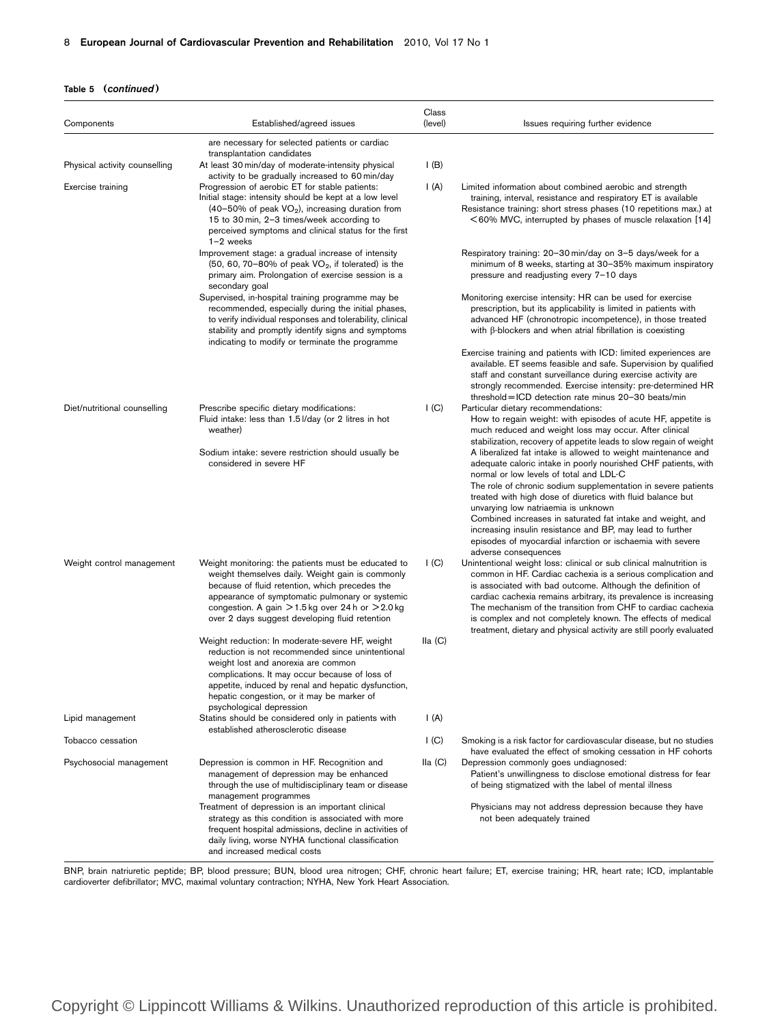## Table 5 (continued)

| Components                    | Established/agreed issues                                                                                                                                                                                                                                                                                                                | Class<br>(level)         | Issues requiring further evidence                                                                                                                                                                                                                                                                                                                                                                                                                                                                                                                                 |
|-------------------------------|------------------------------------------------------------------------------------------------------------------------------------------------------------------------------------------------------------------------------------------------------------------------------------------------------------------------------------------|--------------------------|-------------------------------------------------------------------------------------------------------------------------------------------------------------------------------------------------------------------------------------------------------------------------------------------------------------------------------------------------------------------------------------------------------------------------------------------------------------------------------------------------------------------------------------------------------------------|
|                               | are necessary for selected patients or cardiac                                                                                                                                                                                                                                                                                           |                          |                                                                                                                                                                                                                                                                                                                                                                                                                                                                                                                                                                   |
| Physical activity counselling | transplantation candidates<br>At least 30 min/day of moderate-intensity physical                                                                                                                                                                                                                                                         | $\mathsf{I}(\mathsf{B})$ |                                                                                                                                                                                                                                                                                                                                                                                                                                                                                                                                                                   |
| Exercise training             | activity to be gradually increased to 60 min/day<br>Progression of aerobic ET for stable patients:<br>Initial stage: intensity should be kept at a low level<br>$(40-50\%$ of peak $VO2$ ), increasing duration from<br>15 to 30 min, 2-3 times/week according to<br>perceived symptoms and clinical status for the first<br>$1-2$ weeks | $\mathsf{I}(\mathsf{A})$ | Limited information about combined aerobic and strength<br>training, interval, resistance and respiratory ET is available<br>Resistance training: short stress phases (10 repetitions max.) at<br>$<60\%$ MVC, interrupted by phases of muscle relaxation [14]                                                                                                                                                                                                                                                                                                    |
|                               | Improvement stage: a gradual increase of intensity<br>(50, 60, 70–80% of peak $VO_2$ , if tolerated) is the<br>primary aim. Prolongation of exercise session is a<br>secondary goal                                                                                                                                                      |                          | Respiratory training: 20-30 min/day on 3-5 days/week for a<br>minimum of 8 weeks, starting at 30-35% maximum inspiratory<br>pressure and readjusting every 7-10 days                                                                                                                                                                                                                                                                                                                                                                                              |
|                               | Supervised, in-hospital training programme may be<br>recommended, especially during the initial phases,<br>to verify individual responses and tolerability, clinical<br>stability and promptly identify signs and symptoms<br>indicating to modify or terminate the programme                                                            |                          | Monitoring exercise intensity: HR can be used for exercise<br>prescription, but its applicability is limited in patients with<br>advanced HF (chronotropic incompetence), in those treated<br>with $\beta$ -blockers and when atrial fibrillation is coexisting                                                                                                                                                                                                                                                                                                   |
|                               |                                                                                                                                                                                                                                                                                                                                          |                          | Exercise training and patients with ICD: limited experiences are<br>available. ET seems feasible and safe. Supervision by qualified<br>staff and constant surveillance during exercise activity are<br>strongly recommended. Exercise intensity: pre-determined HR<br>threshold=ICD detection rate minus 20-30 beats/min                                                                                                                                                                                                                                          |
| Diet/nutritional counselling  | Prescribe specific dietary modifications:<br>Fluid intake: less than 1.5 I/day (or 2 litres in hot<br>weather)                                                                                                                                                                                                                           | I(C)                     | Particular dietary recommendations:<br>How to regain weight: with episodes of acute HF, appetite is<br>much reduced and weight loss may occur. After clinical<br>stabilization, recovery of appetite leads to slow regain of weight                                                                                                                                                                                                                                                                                                                               |
|                               | Sodium intake: severe restriction should usually be<br>considered in severe HF                                                                                                                                                                                                                                                           |                          | A liberalized fat intake is allowed to weight maintenance and<br>adequate caloric intake in poorly nourished CHF patients, with<br>normal or low levels of total and LDL-C<br>The role of chronic sodium supplementation in severe patients<br>treated with high dose of diuretics with fluid balance but<br>unvarying low natriaemia is unknown<br>Combined increases in saturated fat intake and weight, and<br>increasing insulin resistance and BP, may lead to further<br>episodes of myocardial infarction or ischaemia with severe<br>adverse consequences |
| Weight control management     | Weight monitoring: the patients must be educated to<br>weight themselves daily. Weight gain is commonly<br>because of fluid retention, which precedes the<br>appearance of symptomatic pulmonary or systemic<br>congestion. A gain $>$ 1.5 kg over 24 h or $>$ 2.0 kg<br>over 2 days suggest developing fluid retention                  | $\mathsf{I}(\mathsf{C})$ | Unintentional weight loss: clinical or sub clinical malnutrition is<br>common in HF. Cardiac cachexia is a serious complication and<br>is associated with bad outcome. Although the definition of<br>cardiac cachexia remains arbitrary, its prevalence is increasing<br>The mechanism of the transition from CHF to cardiac cachexia<br>is complex and not completely known. The effects of medical<br>treatment, dietary and physical activity are still poorly evaluated                                                                                       |
|                               | Weight reduction: In moderate-severe HF, weight<br>reduction is not recommended since unintentional<br>weight lost and anorexia are common<br>complications. It may occur because of loss of<br>appetite, induced by renal and hepatic dysfunction,<br>hepatic congestion, or it may be marker of<br>psychological depression            | lla (C)                  |                                                                                                                                                                                                                                                                                                                                                                                                                                                                                                                                                                   |
| Lipid management              | Statins should be considered only in patients with<br>established atherosclerotic disease                                                                                                                                                                                                                                                | $\mathsf{I}(\mathsf{A})$ |                                                                                                                                                                                                                                                                                                                                                                                                                                                                                                                                                                   |
| Tobacco cessation             |                                                                                                                                                                                                                                                                                                                                          | $\mathsf{I}(\mathsf{C})$ | Smoking is a risk factor for cardiovascular disease, but no studies                                                                                                                                                                                                                                                                                                                                                                                                                                                                                               |
| Psychosocial management       | Depression is common in HF. Recognition and<br>management of depression may be enhanced<br>through the use of multidisciplinary team or disease<br>management programmes                                                                                                                                                                 | lla (C)                  | have evaluated the effect of smoking cessation in HF cohorts<br>Depression commonly goes undiagnosed:<br>Patient's unwillingness to disclose emotional distress for fear<br>of being stigmatized with the label of mental illness                                                                                                                                                                                                                                                                                                                                 |
|                               | Treatment of depression is an important clinical<br>strategy as this condition is associated with more<br>frequent hospital admissions, decline in activities of<br>daily living, worse NYHA functional classification<br>and increased medical costs                                                                                    |                          | Physicians may not address depression because they have<br>not been adequately trained                                                                                                                                                                                                                                                                                                                                                                                                                                                                            |

BNP, brain natriuretic peptide; BP, blood pressure; BUN, blood urea nitrogen; CHF, chronic heart failure; ET, exercise training; HR, heart rate; ICD, implantable cardioverter defibrillator; MVC, maximal voluntary contraction; NYHA, New York Heart Association.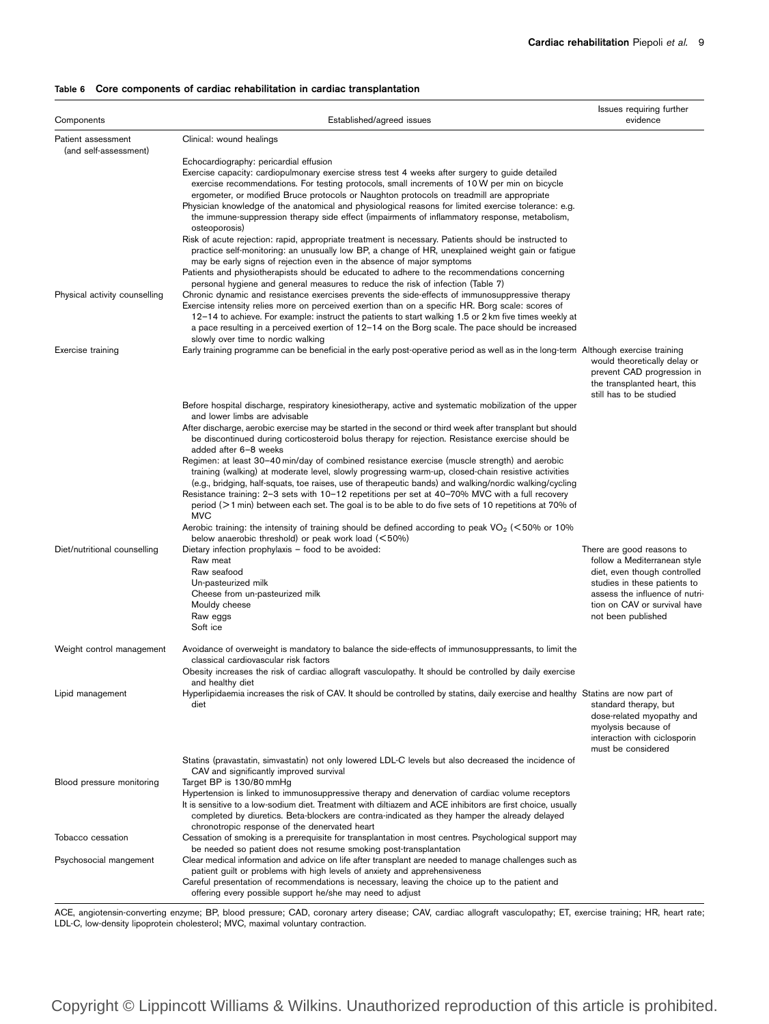## Table 6 Core components of cardiac rehabilitation in cardiac transplantation

| Components                    | Established/agreed issues                                                                                                                                                                                                                                                                                                                                                                                                                                                                                                                                                                                                                    | Issues requiring further<br>evidence                                                                                                                                                                              |
|-------------------------------|----------------------------------------------------------------------------------------------------------------------------------------------------------------------------------------------------------------------------------------------------------------------------------------------------------------------------------------------------------------------------------------------------------------------------------------------------------------------------------------------------------------------------------------------------------------------------------------------------------------------------------------------|-------------------------------------------------------------------------------------------------------------------------------------------------------------------------------------------------------------------|
| Patient assessment            | Clinical: wound healings                                                                                                                                                                                                                                                                                                                                                                                                                                                                                                                                                                                                                     |                                                                                                                                                                                                                   |
| (and self-assessment)         | Echocardiography: pericardial effusion<br>Exercise capacity: cardiopulmonary exercise stress test 4 weeks after surgery to guide detailed<br>exercise recommendations. For testing protocols, small increments of 10 W per min on bicycle<br>ergometer, or modified Bruce protocols or Naughton protocols on treadmill are appropriate<br>Physician knowledge of the anatomical and physiological reasons for limited exercise tolerance: e.g.<br>the immune-suppression therapy side effect (impairments of inflammatory response, metabolism,<br>osteoporosis)                                                                             |                                                                                                                                                                                                                   |
|                               | Risk of acute rejection: rapid, appropriate treatment is necessary. Patients should be instructed to<br>practice self-monitoring: an unusually low BP, a change of HR, unexplained weight gain or fatigue<br>may be early signs of rejection even in the absence of major symptoms                                                                                                                                                                                                                                                                                                                                                           |                                                                                                                                                                                                                   |
| Physical activity counselling | Patients and physiotherapists should be educated to adhere to the recommendations concerning<br>personal hygiene and general measures to reduce the risk of infection (Table 7)<br>Chronic dynamic and resistance exercises prevents the side-effects of immunosuppressive therapy<br>Exercise intensity relies more on perceived exertion than on a specific HR. Borg scale: scores of<br>12-14 to achieve. For example: instruct the patients to start walking 1.5 or 2 km five times weekly at<br>a pace resulting in a perceived exertion of 12-14 on the Borg scale. The pace should be increased<br>slowly over time to nordic walking |                                                                                                                                                                                                                   |
| Exercise training             | Early training programme can be beneficial in the early post-operative period as well as in the long-term Although exercise training                                                                                                                                                                                                                                                                                                                                                                                                                                                                                                         | would theoretically delay or<br>prevent CAD progression in<br>the transplanted heart, this<br>still has to be studied                                                                                             |
|                               | Before hospital discharge, respiratory kinesiotherapy, active and systematic mobilization of the upper<br>and lower limbs are advisable                                                                                                                                                                                                                                                                                                                                                                                                                                                                                                      |                                                                                                                                                                                                                   |
|                               | After discharge, aerobic exercise may be started in the second or third week after transplant but should<br>be discontinued during corticosteroid bolus therapy for rejection. Resistance exercise should be<br>added after 6-8 weeks                                                                                                                                                                                                                                                                                                                                                                                                        |                                                                                                                                                                                                                   |
|                               | Regimen: at least 30-40 min/day of combined resistance exercise (muscle strength) and aerobic<br>training (walking) at moderate level, slowly progressing warm-up, closed-chain resistive activities<br>(e.g., bridging, half-squats, toe raises, use of therapeutic bands) and walking/nordic walking/cycling<br>Resistance training: 2-3 sets with 10-12 repetitions per set at 40-70% MVC with a full recovery<br>period (>1 min) between each set. The goal is to be able to do five sets of 10 repetitions at 70% of                                                                                                                    |                                                                                                                                                                                                                   |
|                               | <b>MVC</b><br>Aerobic training: the intensity of training should be defined according to peak VO <sub>2</sub> ( $<$ 50% or 10%)<br>below anaerobic threshold) or peak work load $(<50\%)$                                                                                                                                                                                                                                                                                                                                                                                                                                                    |                                                                                                                                                                                                                   |
| Diet/nutritional counselling  | Dietary infection prophylaxis - food to be avoided:<br>Raw meat<br>Raw seafood<br>Un-pasteurized milk<br>Cheese from un-pasteurized milk<br>Mouldy cheese<br>Raw eggs<br>Soft ice                                                                                                                                                                                                                                                                                                                                                                                                                                                            | There are good reasons to<br>follow a Mediterranean style<br>diet, even though controlled<br>studies in these patients to<br>assess the influence of nutri-<br>tion on CAV or survival have<br>not been published |
| Weight control management     | Avoidance of overweight is mandatory to balance the side-effects of immunosuppressants, to limit the<br>classical cardiovascular risk factors<br>Obesity increases the risk of cardiac allograft vasculopathy. It should be controlled by daily exercise                                                                                                                                                                                                                                                                                                                                                                                     |                                                                                                                                                                                                                   |
| Lipid management              | and healthy diet<br>Hyperlipidaemia increases the risk of CAV. It should be controlled by statins, daily exercise and healthy Statins are now part of<br>diet                                                                                                                                                                                                                                                                                                                                                                                                                                                                                | standard therapy, but<br>dose-related myopathy and<br>myolysis because of<br>interaction with ciclosporin<br>must be considered                                                                                   |
|                               | Statins (pravastatin, simvastatin) not only lowered LDL-C levels but also decreased the incidence of<br>CAV and significantly improved survival                                                                                                                                                                                                                                                                                                                                                                                                                                                                                              |                                                                                                                                                                                                                   |
| Blood pressure monitoring     | Target BP is 130/80 mmHg<br>Hypertension is linked to immunosuppressive therapy and denervation of cardiac volume receptors<br>It is sensitive to a low-sodium diet. Treatment with diltiazem and ACE inhibitors are first choice, usually<br>completed by diuretics. Beta-blockers are contra-indicated as they hamper the already delayed<br>chronotropic response of the denervated heart                                                                                                                                                                                                                                                 |                                                                                                                                                                                                                   |
| Tobacco cessation             | Cessation of smoking is a prerequisite for transplantation in most centres. Psychological support may<br>be needed so patient does not resume smoking post-transplantation                                                                                                                                                                                                                                                                                                                                                                                                                                                                   |                                                                                                                                                                                                                   |
| Psychosocial mangement        | Clear medical information and advice on life after transplant are needed to manage challenges such as<br>patient guilt or problems with high levels of anxiety and apprehensiveness<br>Careful presentation of recommendations is necessary, leaving the choice up to the patient and<br>offering every possible support he/she may need to adjust                                                                                                                                                                                                                                                                                           |                                                                                                                                                                                                                   |

ACE, angiotensin-converting enzyme; BP, blood pressure; CAD, coronary artery disease; CAV, cardiac allograft vasculopathy; ET, exercise training; HR, heart rate; LDL-C, low-density lipoprotein cholesterol; MVC, maximal voluntary contraction.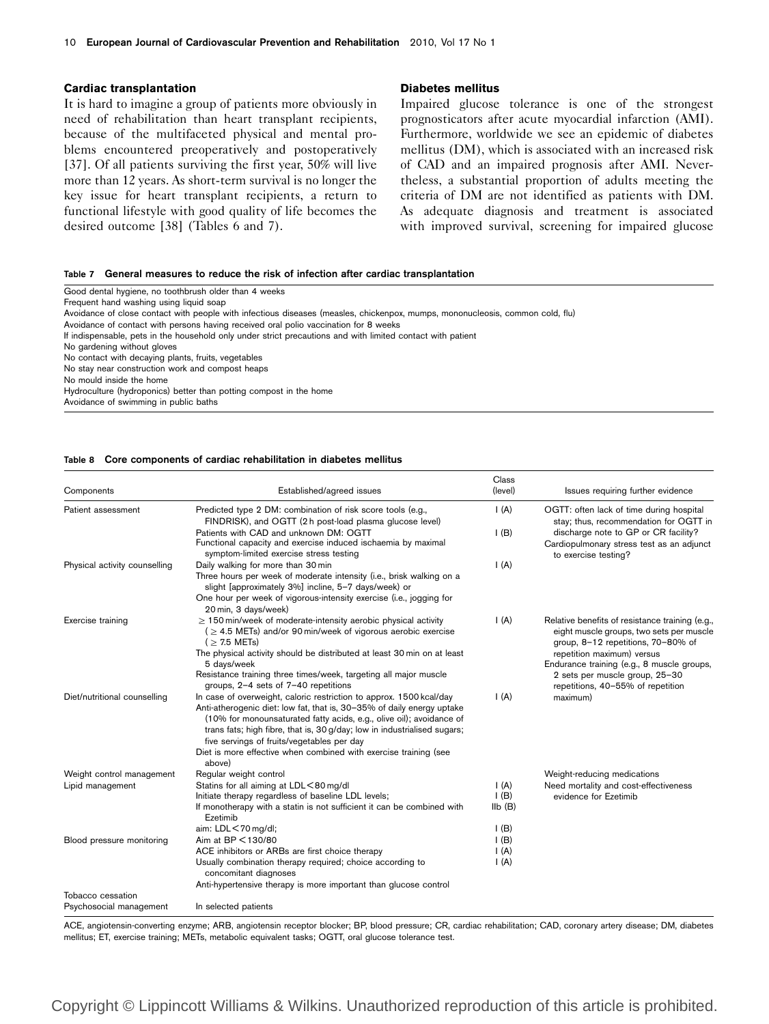### Cardiac transplantation

It is hard to imagine a group of patients more obviously in need of rehabilitation than heart transplant recipients, because of the multifaceted physical and mental problems encountered preoperatively and postoperatively [37]. Of all patients surviving the first year, 50% will live more than 12 years. As short-term survival is no longer the key issue for heart transplant recipients, a return to functional lifestyle with good quality of life becomes the desired outcome [38] (Tables 6 and 7).

### Diabetes mellitus

Impaired glucose tolerance is one of the strongest prognosticators after acute myocardial infarction (AMI). Furthermore, worldwide we see an epidemic of diabetes mellitus (DM), which is associated with an increased risk of CAD and an impaired prognosis after AMI. Nevertheless, a substantial proportion of adults meeting the criteria of DM are not identified as patients with DM. As adequate diagnosis and treatment is associated with improved survival, screening for impaired glucose

|  |  | Table 7 General measures to reduce the risk of infection after cardiac transplantation |  |  |  |  |  |  |  |  |
|--|--|----------------------------------------------------------------------------------------|--|--|--|--|--|--|--|--|
|--|--|----------------------------------------------------------------------------------------|--|--|--|--|--|--|--|--|

Good dental hygiene, no toothbrush older than 4 weeks Frequent hand washing using liquid soap Avoidance of close contact with people with infectious diseases (measles, chickenpox, mumps, mononucleosis, common cold, flu) Avoidance of contact with persons having received oral polio vaccination for 8 weeks If indispensable, pets in the household only under strict precautions and with limited contact with patient No gardening without gloves No contact with decaying plants, fruits, vegetables No stay near construction work and compost heaps No mould inside the home Hydroculture (hydroponics) better than potting compost in the home Avoidance of swimming in public baths

## Table 8 Core components of cardiac rehabilitation in diabetes mellitus

| Components                    | Established/agreed issues                                                                                                                                                                                                                                                                                                                                                                                                     | Class<br>(level)                                                                   | Issues requiring further evidence                                                                                                                                                                                                                                                    |  |  |
|-------------------------------|-------------------------------------------------------------------------------------------------------------------------------------------------------------------------------------------------------------------------------------------------------------------------------------------------------------------------------------------------------------------------------------------------------------------------------|------------------------------------------------------------------------------------|--------------------------------------------------------------------------------------------------------------------------------------------------------------------------------------------------------------------------------------------------------------------------------------|--|--|
| Patient assessment            | Predicted type 2 DM: combination of risk score tools (e.g.,<br>FINDRISK), and OGTT (2 h post-load plasma glucose level)                                                                                                                                                                                                                                                                                                       | $\mathsf{I}(\mathsf{A})$                                                           | OGTT: often lack of time during hospital<br>stay; thus, recommendation for OGTT in                                                                                                                                                                                                   |  |  |
|                               | Patients with CAD and unknown DM: OGTT<br>Functional capacity and exercise induced ischaemia by maximal<br>symptom-limited exercise stress testing                                                                                                                                                                                                                                                                            | I(B)                                                                               | discharge note to GP or CR facility?<br>Cardiopulmonary stress test as an adjunct<br>to exercise testing?                                                                                                                                                                            |  |  |
| Physical activity counselling | Daily walking for more than 30 min<br>Three hours per week of moderate intensity (i.e., brisk walking on a<br>slight [approximately 3%] incline, 5-7 days/week) or<br>One hour per week of vigorous-intensity exercise (i.e., jogging for<br>20 min, 3 days/week)                                                                                                                                                             | $\mathsf{I}(\mathsf{A})$                                                           |                                                                                                                                                                                                                                                                                      |  |  |
| Exercise training             | $\geq$ 150 min/week of moderate-intensity aerobic physical activity<br>$( \geq 4.5 \text{ METs})$ and/or 90 min/week of vigorous aerobic exercise<br>$($ > 7.5 METs)<br>The physical activity should be distributed at least 30 min on at least<br>5 days/week<br>Resistance training three times/week, targeting all major muscle<br>groups, 2-4 sets of 7-40 repetitions                                                    | $\mathsf{I}(\mathsf{A})$                                                           | Relative benefits of resistance training (e.g.,<br>eight muscle groups, two sets per muscle<br>group, 8-12 repetitions, 70-80% of<br>repetition maximum) versus<br>Endurance training (e.g., 8 muscle groups,<br>2 sets per muscle group, 25-30<br>repetitions, 40-55% of repetition |  |  |
| Diet/nutritional counselling  | In case of overweight, caloric restriction to approx. 1500 kcal/day<br>Anti-atherogenic diet: low fat, that is, 30-35% of daily energy uptake<br>(10% for monounsaturated fatty acids, e.g., olive oil); avoidance of<br>trans fats; high fibre, that is, 30 g/day; low in industrialised sugars;<br>five servings of fruits/vegetables per day<br>Diet is more effective when combined with exercise training (see<br>above) | $\mathsf{I}(\mathsf{A})$                                                           | maximum)                                                                                                                                                                                                                                                                             |  |  |
| Weight control management     | Regular weight control                                                                                                                                                                                                                                                                                                                                                                                                        |                                                                                    | Weight-reducing medications                                                                                                                                                                                                                                                          |  |  |
| Lipid management              | Statins for all aiming at LDL<80 mg/dl<br>Initiate therapy regardless of baseline LDL levels;<br>If monotherapy with a statin is not sufficient it can be combined with<br>Ezetimib<br>aim: $LDL < 70$ mg/dl;                                                                                                                                                                                                                 | $\mathsf{I}(\mathsf{A})$<br>I(B)<br>$I\mathsf{lb}$ (B)<br>$\mathsf{I}(\mathsf{B})$ | Need mortality and cost-effectiveness<br>evidence for Ezetimib                                                                                                                                                                                                                       |  |  |
| Blood pressure monitoring     | Aim at BP < 130/80<br>ACE inhibitors or ARBs are first choice therapy<br>Usually combination therapy required; choice according to<br>concomitant diagnoses<br>Anti-hypertensive therapy is more important than glucose control                                                                                                                                                                                               | $\mathsf{I}(\mathsf{B})$<br>$\mathsf{I}(\mathsf{A})$<br>$\mathsf{I}(\mathsf{A})$   |                                                                                                                                                                                                                                                                                      |  |  |
| Tobacco cessation             |                                                                                                                                                                                                                                                                                                                                                                                                                               |                                                                                    |                                                                                                                                                                                                                                                                                      |  |  |
| Psychosocial management       | In selected patients                                                                                                                                                                                                                                                                                                                                                                                                          |                                                                                    |                                                                                                                                                                                                                                                                                      |  |  |

ACE, angiotensin-converting enzyme; ARB, angiotensin receptor blocker; BP, blood pressure; CR, cardiac rehabilitation; CAD, coronary artery disease; DM, diabetes mellitus; ET, exercise training; METs, metabolic equivalent tasks; OGTT, oral glucose tolerance test.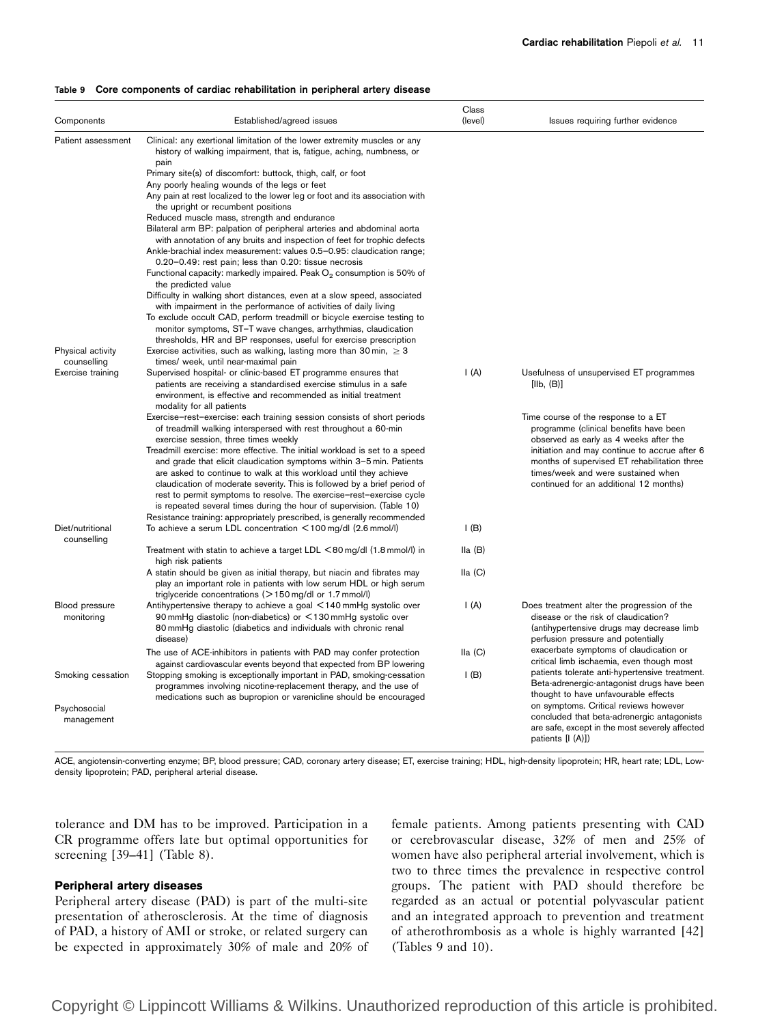|  | Table 9 Core components of cardiac rehabilitation in peripheral artery disease |  |  |  |  |
|--|--------------------------------------------------------------------------------|--|--|--|--|
|--|--------------------------------------------------------------------------------|--|--|--|--|

| Components                                            | Established/agreed issues                                                                                                                                                                                                                                                                           | Class<br>(level)         | Issues requiring further evidence                                                                                                                                             |
|-------------------------------------------------------|-----------------------------------------------------------------------------------------------------------------------------------------------------------------------------------------------------------------------------------------------------------------------------------------------------|--------------------------|-------------------------------------------------------------------------------------------------------------------------------------------------------------------------------|
| Patient assessment                                    | Clinical: any exertional limitation of the lower extremity muscles or any<br>history of walking impairment, that is, fatigue, aching, numbness, or<br>pain                                                                                                                                          |                          |                                                                                                                                                                               |
|                                                       | Primary site(s) of discomfort: buttock, thigh, calf, or foot<br>Any poorly healing wounds of the legs or feet<br>Any pain at rest localized to the lower leg or foot and its association with                                                                                                       |                          |                                                                                                                                                                               |
|                                                       | the upright or recumbent positions<br>Reduced muscle mass, strength and endurance                                                                                                                                                                                                                   |                          |                                                                                                                                                                               |
|                                                       | Bilateral arm BP: palpation of peripheral arteries and abdominal aorta<br>with annotation of any bruits and inspection of feet for trophic defects<br>Ankle-brachial index measurement: values 0.5-0.95: claudication range;                                                                        |                          |                                                                                                                                                                               |
|                                                       | 0.20-0.49: rest pain; less than 0.20: tissue necrosis<br>Functional capacity: markedly impaired. Peak $O2$ consumption is 50% of<br>the predicted value                                                                                                                                             |                          |                                                                                                                                                                               |
|                                                       | Difficulty in walking short distances, even at a slow speed, associated<br>with impairment in the performance of activities of daily living                                                                                                                                                         |                          |                                                                                                                                                                               |
|                                                       | To exclude occult CAD, perform treadmill or bicycle exercise testing to<br>monitor symptoms, ST-T wave changes, arrhythmias, claudication<br>thresholds, HR and BP responses, useful for exercise prescription                                                                                      |                          |                                                                                                                                                                               |
| Physical activity<br>counselling<br>Exercise training | Exercise activities, such as walking, lasting more than 30 min, $\geq$ 3<br>times/ week, until near-maximal pain<br>Supervised hospital- or clinic-based ET programme ensures that                                                                                                                  | $\mathsf{I}(\mathsf{A})$ | Usefulness of unsupervised ET programmes                                                                                                                                      |
|                                                       | patients are receiving a standardised exercise stimulus in a safe<br>environment, is effective and recommended as initial treatment<br>modality for all patients                                                                                                                                    |                          | [IIb, (B)]                                                                                                                                                                    |
|                                                       | Exercise-rest-exercise: each training session consists of short periods<br>of treadmill walking interspersed with rest throughout a 60-min<br>exercise session, three times weekly                                                                                                                  |                          | Time course of the response to a ET<br>programme (clinical benefits have been<br>observed as early as 4 weeks after the                                                       |
|                                                       | Treadmill exercise: more effective. The initial workload is set to a speed<br>and grade that elicit claudication symptoms within 3-5 min. Patients<br>are asked to continue to walk at this workload until they achieve<br>claudication of moderate severity. This is followed by a brief period of |                          | initiation and may continue to accrue after 6<br>months of supervised ET rehabilitation three<br>times/week and were sustained when<br>continued for an additional 12 months) |
|                                                       | rest to permit symptoms to resolve. The exercise-rest-exercise cycle<br>is repeated several times during the hour of supervision. (Table 10)<br>Resistance training: appropriately prescribed, is generally recommended                                                                             |                          |                                                                                                                                                                               |
| Diet/nutritional<br>counselling                       | To achieve a serum LDL concentration $\leq 100$ mg/dl (2.6 mmol/l)                                                                                                                                                                                                                                  | $\mathsf{I}(\mathsf{B})$ |                                                                                                                                                                               |
|                                                       | Treatment with statin to achieve a target LDL $\leq$ 80 mg/dl (1.8 mmol/l) in<br>high risk patients<br>A statin should be given as initial therapy, but niacin and fibrates may                                                                                                                     | Ila(B)<br>lla (C)        |                                                                                                                                                                               |
|                                                       | play an important role in patients with low serum HDL or high serum<br>triglyceride concentrations $($ > 150 mg/dl or 1.7 mmol/l)                                                                                                                                                                   |                          |                                                                                                                                                                               |
| Blood pressure<br>monitoring                          | Antihypertensive therapy to achieve a goal $\leq$ 140 mmHg systolic over<br>90 mmHg diastolic (non-diabetics) or <130 mmHg systolic over<br>80 mmHg diastolic (diabetics and individuals with chronic renal<br>disease)                                                                             | $\mathsf{I}(\mathsf{A})$ | Does treatment alter the progression of the<br>disease or the risk of claudication?<br>(antihypertensive drugs may decrease limb<br>perfusion pressure and potentially        |
|                                                       | The use of ACE-inhibitors in patients with PAD may confer protection<br>against cardiovascular events beyond that expected from BP lowering                                                                                                                                                         | lla (C)                  | exacerbate symptoms of claudication or<br>critical limb ischaemia, even though most                                                                                           |
| Smoking cessation                                     | Stopping smoking is exceptionally important in PAD, smoking-cessation<br>programmes involving nicotine-replacement therapy, and the use of<br>medications such as bupropion or varenicline should be encouraged                                                                                     | $\mathsf{I}(\mathsf{B})$ | patients tolerate anti-hypertensive treatment.<br>Beta-adrenergic-antagonist drugs have been<br>thought to have unfavourable effects                                          |
| Psychosocial<br>management                            |                                                                                                                                                                                                                                                                                                     |                          | on symptoms. Critical reviews however<br>concluded that beta-adrenergic antagonists<br>are safe, except in the most severely affected<br>patients [I (A)])                    |

ACE, angiotensin-converting enzyme; BP, blood pressure; CAD, coronary artery disease; ET, exercise training; HDL, high-density lipoprotein; HR, heart rate; LDL, Lowdensity lipoprotein; PAD, peripheral arterial disease.

tolerance and DM has to be improved. Participation in a CR programme offers late but optimal opportunities for screening [39–41] (Table 8).

## Peripheral artery diseases

Peripheral artery disease (PAD) is part of the multi-site presentation of atherosclerosis. At the time of diagnosis of PAD, a history of AMI or stroke, or related surgery can be expected in approximately 30% of male and 20% of

female patients. Among patients presenting with CAD or cerebrovascular disease, 32% of men and 25% of women have also peripheral arterial involvement, which is two to three times the prevalence in respective control groups. The patient with PAD should therefore be regarded as an actual or potential polyvascular patient and an integrated approach to prevention and treatment of atherothrombosis as a whole is highly warranted [42] (Tables 9 and 10).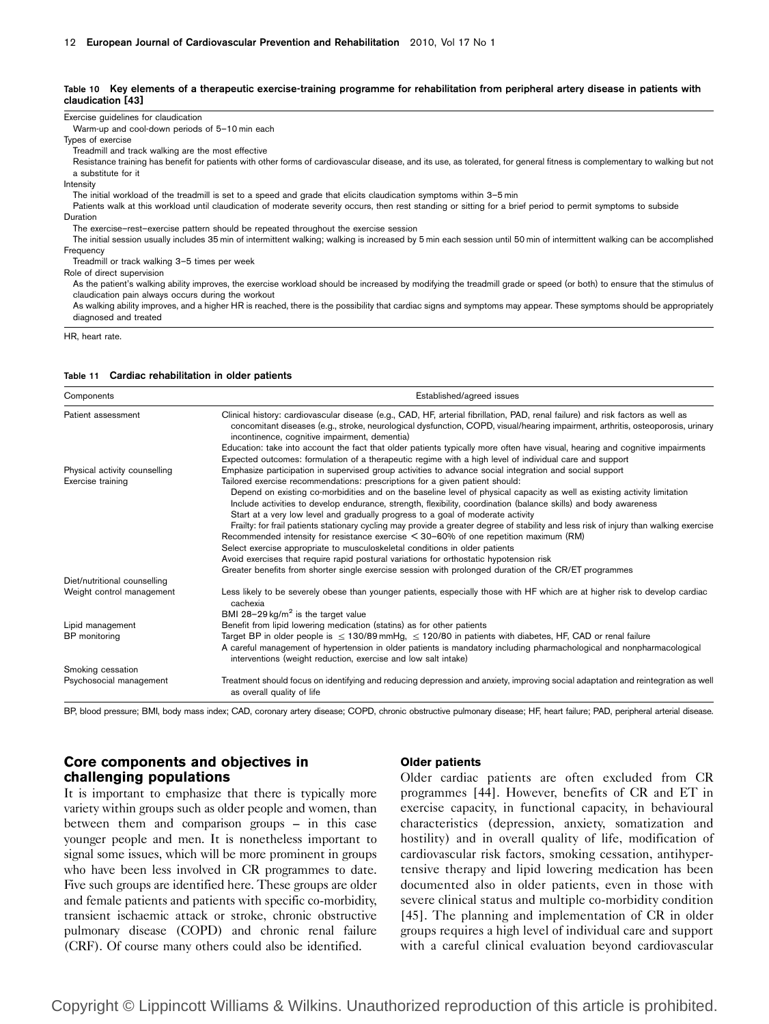#### Table 10 Key elements of a therapeutic exercise-training programme for rehabilitation from peripheral artery disease in patients with claudication [43]

Exercise guidelines for claudication

Warm-up and cool-down periods of 5–10 min each

Types of exercise

Treadmill and track walking are the most effective

Resistance training has benefit for patients with other forms of cardiovascular disease, and its use, as tolerated, for general fitness is complementary to walking but not a substitute for it

#### **Intensity**

The initial workload of the treadmill is set to a speed and grade that elicits claudication symptoms within 3–5 min

Patients walk at this workload until claudication of moderate severity occurs, then rest standing or sitting for a brief period to permit symptoms to subside

#### Duration

The exercise–rest–exercise pattern should be repeated throughout the exercise session

The initial session usually includes 35 min of intermittent walking; walking is increased by 5 min each session until 50 min of intermittent walking can be accomplished Frequency

Treadmill or track walking 3–5 times per week

#### Role of direct supervision

As the patient's walking ability improves, the exercise workload should be increased by modifying the treadmill grade or speed (or both) to ensure that the stimulus of claudication pain always occurs during the workout

As walking ability improves, and a higher HR is reached, there is the possibility that cardiac signs and symptoms may appear. These symptoms should be appropriately diagnosed and treated

HR, heart rate.

| Components                    | Established/agreed issues                                                                                                                                                                                                                                                                                           |
|-------------------------------|---------------------------------------------------------------------------------------------------------------------------------------------------------------------------------------------------------------------------------------------------------------------------------------------------------------------|
| Patient assessment            | Clinical history: cardiovascular disease (e.g., CAD, HF, arterial fibrillation, PAD, renal failure) and risk factors as well as<br>concomitant diseases (e.g., stroke, neurological dysfunction, COPD, visual/hearing impairment, arthritis, osteoporosis, urinary<br>incontinence, cognitive impairment, dementia) |
|                               | Education: take into account the fact that older patients typically more often have visual, hearing and cognitive impairments                                                                                                                                                                                       |
|                               | Expected outcomes: formulation of a therapeutic regime with a high level of individual care and support                                                                                                                                                                                                             |
| Physical activity counselling | Emphasize participation in supervised group activities to advance social integration and social support                                                                                                                                                                                                             |
| Exercise training             | Tailored exercise recommendations: prescriptions for a given patient should:                                                                                                                                                                                                                                        |
|                               | Depend on existing co-morbidities and on the baseline level of physical capacity as well as existing activity limitation<br>Include activities to develop endurance, strength, flexibility, coordination (balance skills) and body awareness                                                                        |
|                               | Start at a very low level and gradually progress to a goal of moderate activity                                                                                                                                                                                                                                     |
|                               | Frailty: for frail patients stationary cycling may provide a greater degree of stability and less risk of injury than walking exercise<br>Recommended intensity for resistance exercise $\leq 30 - 60\%$ of one repetition maximum (RM)                                                                             |
|                               | Select exercise appropriate to musculoskeletal conditions in older patients                                                                                                                                                                                                                                         |
|                               | Avoid exercises that require rapid postural variations for orthostatic hypotension risk                                                                                                                                                                                                                             |
|                               | Greater benefits from shorter single exercise session with prolonged duration of the CR/ET programmes                                                                                                                                                                                                               |
| Diet/nutritional counselling  |                                                                                                                                                                                                                                                                                                                     |
| Weight control management     | Less likely to be severely obese than younger patients, especially those with HF which are at higher risk to develop cardiac<br>cachexia                                                                                                                                                                            |
|                               | BMI 28-29 kg/m <sup>2</sup> is the target value                                                                                                                                                                                                                                                                     |
| Lipid management              | Benefit from lipid lowering medication (statins) as for other patients                                                                                                                                                                                                                                              |
| BP monitoring                 | Target BP in older people is $\leq 130/89$ mmHg, $\leq 120/80$ in patients with diabetes, HF, CAD or renal failure                                                                                                                                                                                                  |
|                               | A careful management of hypertension in older patients is mandatory including pharmachological and nonpharmacological<br>interventions (weight reduction, exercise and low salt intake)                                                                                                                             |
| Smoking cessation             |                                                                                                                                                                                                                                                                                                                     |
| Psychosocial management       | Treatment should focus on identifying and reducing depression and anxiety, improving social adaptation and reintegration as well<br>as overall quality of life                                                                                                                                                      |

Table 11 Cardiac rehabilitation in older patients

BP, blood pressure; BMI, body mass index; CAD, coronary artery disease; COPD, chronic obstructive pulmonary disease; HF, heart failure; PAD, peripheral arterial disease.

# Core components and objectives in challenging populations

It is important to emphasize that there is typically more variety within groups such as older people and women, than between them and comparison groups – in this case younger people and men. It is nonetheless important to signal some issues, which will be more prominent in groups who have been less involved in CR programmes to date. Five such groups are identified here. These groups are older and female patients and patients with specific co-morbidity, transient ischaemic attack or stroke, chronic obstructive pulmonary disease (COPD) and chronic renal failure (CRF). Of course many others could also be identified.

# Older patients

Older cardiac patients are often excluded from CR programmes [44]. However, benefits of CR and ET in exercise capacity, in functional capacity, in behavioural characteristics (depression, anxiety, somatization and hostility) and in overall quality of life, modification of cardiovascular risk factors, smoking cessation, antihypertensive therapy and lipid lowering medication has been documented also in older patients, even in those with severe clinical status and multiple co-morbidity condition [45]. The planning and implementation of CR in older groups requires a high level of individual care and support with a careful clinical evaluation beyond cardiovascular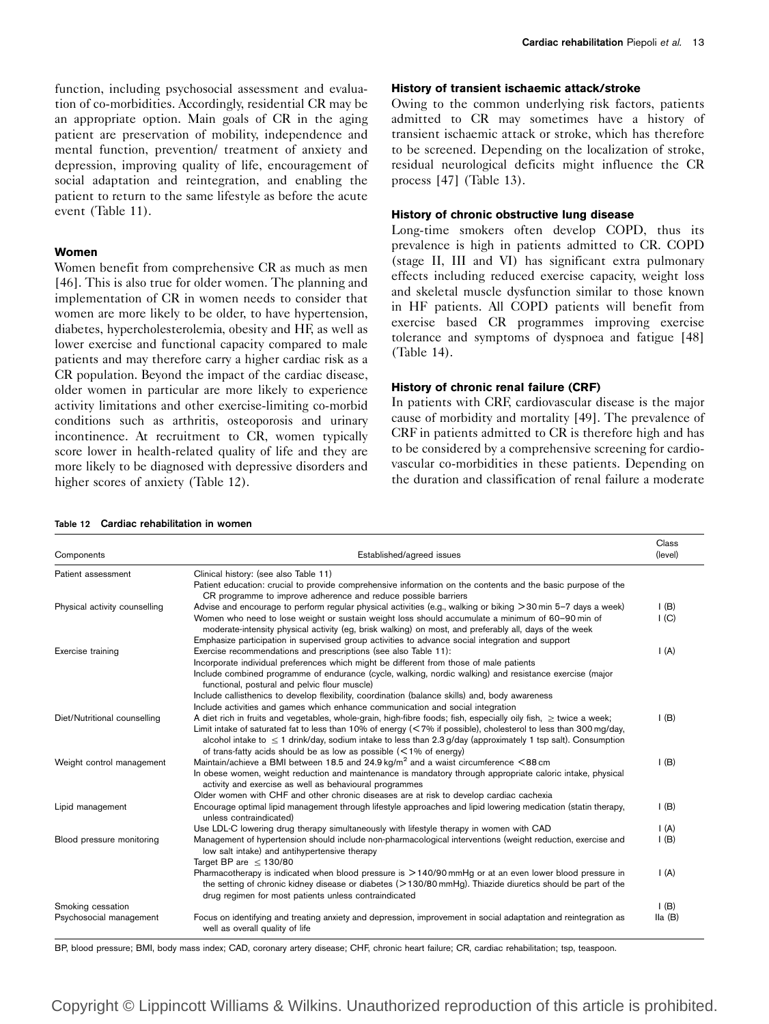function, including psychosocial assessment and evaluation of co-morbidities. Accordingly, residential CR may be an appropriate option. Main goals of CR in the aging patient are preservation of mobility, independence and mental function, prevention/ treatment of anxiety and depression, improving quality of life, encouragement of social adaptation and reintegration, and enabling the patient to return to the same lifestyle as before the acute event (Table 11).

## Women

Women benefit from comprehensive CR as much as men [46]. This is also true for older women. The planning and implementation of CR in women needs to consider that women are more likely to be older, to have hypertension, diabetes, hypercholesterolemia, obesity and HF, as well as lower exercise and functional capacity compared to male patients and may therefore carry a higher cardiac risk as a CR population. Beyond the impact of the cardiac disease, older women in particular are more likely to experience activity limitations and other exercise-limiting co-morbid conditions such as arthritis, osteoporosis and urinary incontinence. At recruitment to CR, women typically score lower in health-related quality of life and they are more likely to be diagnosed with depressive disorders and higher scores of anxiety (Table 12).

## History of transient ischaemic attack/stroke

Owing to the common underlying risk factors, patients admitted to CR may sometimes have a history of transient ischaemic attack or stroke, which has therefore to be screened. Depending on the localization of stroke, residual neurological deficits might influence the CR process [47] (Table 13).

## History of chronic obstructive lung disease

Long-time smokers often develop COPD, thus its prevalence is high in patients admitted to CR. COPD (stage II, III and VI) has significant extra pulmonary effects including reduced exercise capacity, weight loss and skeletal muscle dysfunction similar to those known in HF patients. All COPD patients will benefit from exercise based CR programmes improving exercise tolerance and symptoms of dyspnoea and fatigue [48] (Table 14).

## History of chronic renal failure (CRF)

In patients with CRF, cardiovascular disease is the major cause of morbidity and mortality [49]. The prevalence of CRF in patients admitted to CR is therefore high and has to be considered by a comprehensive screening for cardiovascular co-morbidities in these patients. Depending on the duration and classification of renal failure a moderate

|                               |                                                                                                                                                                                                                                                                                 | Class                    |
|-------------------------------|---------------------------------------------------------------------------------------------------------------------------------------------------------------------------------------------------------------------------------------------------------------------------------|--------------------------|
| Components                    | Established/agreed issues                                                                                                                                                                                                                                                       | (level)                  |
| Patient assessment            | Clinical history: (see also Table 11)                                                                                                                                                                                                                                           |                          |
|                               | Patient education: crucial to provide comprehensive information on the contents and the basic purpose of the                                                                                                                                                                    |                          |
|                               | CR programme to improve adherence and reduce possible barriers                                                                                                                                                                                                                  |                          |
| Physical activity counselling | Advise and encourage to perform regular physical activities (e.g., walking or biking $>30$ min 5-7 days a week)                                                                                                                                                                 | $\mathsf{I}(\mathsf{B})$ |
|                               | Women who need to lose weight or sustain weight loss should accumulate a minimum of 60-90 min of                                                                                                                                                                                | I(C)                     |
|                               | moderate-intensity physical activity (eg, brisk walking) on most, and preferably all, days of the week                                                                                                                                                                          |                          |
|                               | Emphasize participation in supervised group activities to advance social integration and support                                                                                                                                                                                |                          |
| Exercise training             | Exercise recommendations and prescriptions (see also Table 11):                                                                                                                                                                                                                 | $\mathsf{I}(\mathsf{A})$ |
|                               | Incorporate individual preferences which might be different from those of male patients                                                                                                                                                                                         |                          |
|                               | Include combined programme of endurance (cycle, walking, nordic walking) and resistance exercise (major<br>functional, postural and pelvic flour muscle)                                                                                                                        |                          |
|                               | Include callisthenics to develop flexibility, coordination (balance skills) and, body awareness                                                                                                                                                                                 |                          |
|                               | Include activities and games which enhance communication and social integration                                                                                                                                                                                                 |                          |
| Diet/Nutritional counselling  | A diet rich in fruits and vegetables, whole-grain, high-fibre foods; fish, especially oily fish, $\geq$ twice a week;                                                                                                                                                           | $\mathsf{I}(\mathsf{B})$ |
|                               | Limit intake of saturated fat to less than 10% of energy (<7% if possible), cholesterol to less than 300 mg/day,                                                                                                                                                                |                          |
|                               | alcohol intake to $\leq 1$ drink/day, sodium intake to less than 2.3 g/day (approximately 1 tsp salt). Consumption<br>of trans-fatty acids should be as low as possible $(< 1\%$ of energy)                                                                                     |                          |
| Weight control management     | Maintain/achieve a BMI between 18.5 and 24.9 kg/m <sup>2</sup> and a waist circumference $\leq$ 88 cm                                                                                                                                                                           | $\mathsf{I}(\mathsf{B})$ |
|                               | In obese women, weight reduction and maintenance is mandatory through appropriate caloric intake, physical<br>activity and exercise as well as behavioural programmes                                                                                                           |                          |
|                               | Older women with CHF and other chronic diseases are at risk to develop cardiac cachexia                                                                                                                                                                                         |                          |
| Lipid management              | Encourage optimal lipid management through lifestyle approaches and lipid lowering medication (statin therapy,<br>unless contraindicated)                                                                                                                                       | $\mathsf{I}(\mathsf{B})$ |
|                               | Use LDL-C lowering drug therapy simultaneously with lifestyle therapy in women with CAD                                                                                                                                                                                         | $\mathsf{I}(\mathsf{A})$ |
| Blood pressure monitoring     | Management of hypertension should include non-pharmacological interventions (weight reduction, exercise and<br>low salt intake) and antihypertensive therapy                                                                                                                    | $\mathsf{I}(\mathsf{B})$ |
|                               | Target BP are $\leq$ 130/80                                                                                                                                                                                                                                                     |                          |
|                               | Pharmacotherapy is indicated when blood pressure is $>140/90$ mmHg or at an even lower blood pressure in<br>the setting of chronic kidney disease or diabetes (>130/80 mmHg). Thiazide diuretics should be part of the<br>drug regimen for most patients unless contraindicated | $\mathsf{I}(\mathsf{A})$ |
| Smoking cessation             |                                                                                                                                                                                                                                                                                 | $\mathsf{I}(\mathsf{B})$ |
| Psychosocial management       | Focus on identifying and treating anxiety and depression, improvement in social adaptation and reintegration as                                                                                                                                                                 | Ila(B)                   |
|                               | well as overall quality of life                                                                                                                                                                                                                                                 |                          |

## Table 12 Cardiac rehabilitation in women

BP, blood pressure; BMI, body mass index; CAD, coronary artery disease; CHF, chronic heart failure; CR, cardiac rehabilitation; tsp, teaspoon.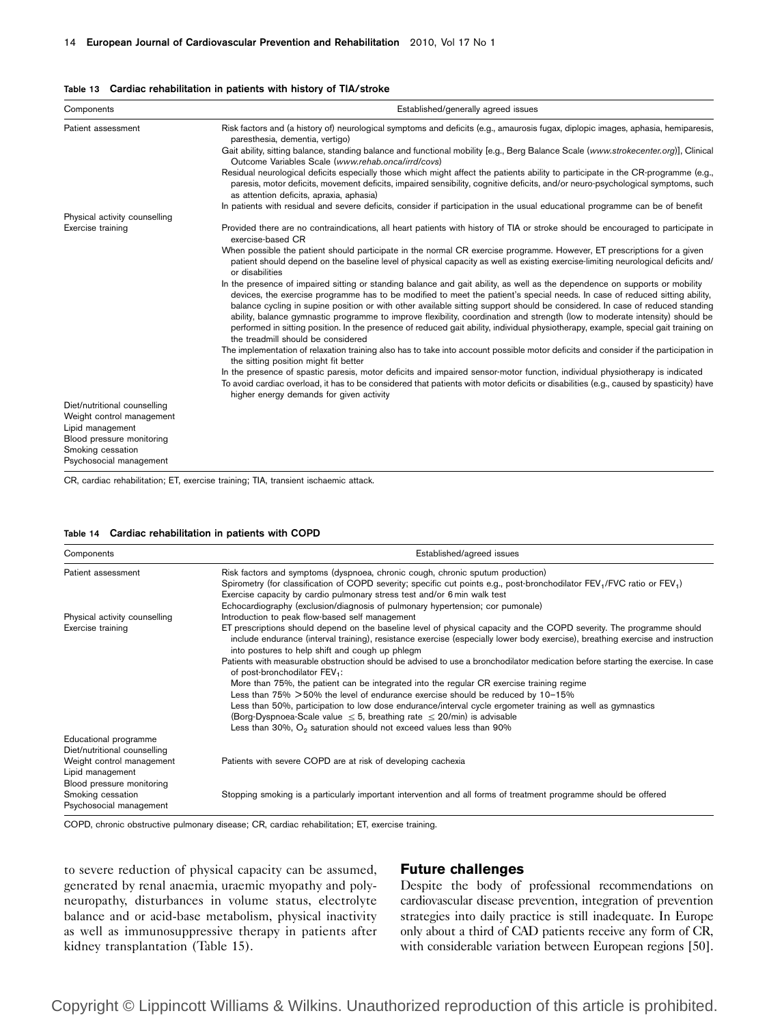| Components                                                                                                                                                 | Established/generally agreed issues                                                                                                                                                                                                                                                                                                                                                                                                                                                                                                                                                                                                                                                                     |
|------------------------------------------------------------------------------------------------------------------------------------------------------------|---------------------------------------------------------------------------------------------------------------------------------------------------------------------------------------------------------------------------------------------------------------------------------------------------------------------------------------------------------------------------------------------------------------------------------------------------------------------------------------------------------------------------------------------------------------------------------------------------------------------------------------------------------------------------------------------------------|
| Patient assessment                                                                                                                                         | Risk factors and (a history of) neurological symptoms and deficits (e.g., amaurosis fugax, diplopic images, aphasia, hemiparesis,<br>paresthesia, dementia, vertigo)                                                                                                                                                                                                                                                                                                                                                                                                                                                                                                                                    |
|                                                                                                                                                            | Gait ability, sitting balance, standing balance and functional mobility [e.g., Berg Balance Scale (www.strokecenter.org)], Clinical<br>Outcome Variables Scale (www.rehab.onca/irrd/covs)                                                                                                                                                                                                                                                                                                                                                                                                                                                                                                               |
|                                                                                                                                                            | Residual neurological deficits especially those which might affect the patients ability to participate in the CR-programme (e.g.,<br>paresis, motor deficits, movement deficits, impaired sensibility, cognitive deficits, and/or neuro-psychological symptoms, such<br>as attention deficits, apraxia, aphasia)                                                                                                                                                                                                                                                                                                                                                                                        |
|                                                                                                                                                            | In patients with residual and severe deficits, consider if participation in the usual educational programme can be of benefit                                                                                                                                                                                                                                                                                                                                                                                                                                                                                                                                                                           |
| Physical activity counselling<br>Exercise training                                                                                                         | Provided there are no contraindications, all heart patients with history of TIA or stroke should be encouraged to participate in<br>exercise-based CR                                                                                                                                                                                                                                                                                                                                                                                                                                                                                                                                                   |
|                                                                                                                                                            | When possible the patient should participate in the normal CR exercise programme. However, ET prescriptions for a given<br>patient should depend on the baseline level of physical capacity as well as existing exercise-limiting neurological deficits and/<br>or disabilities                                                                                                                                                                                                                                                                                                                                                                                                                         |
|                                                                                                                                                            | In the presence of impaired sitting or standing balance and gait ability, as well as the dependence on supports or mobility<br>devices, the exercise programme has to be modified to meet the patient's special needs. In case of reduced sitting ability,<br>balance cycling in supine position or with other available sitting support should be considered. In case of reduced standing<br>ability, balance gymnastic programme to improve flexibility, coordination and strength (low to moderate intensity) should be<br>performed in sitting position. In the presence of reduced gait ability, individual physiotherapy, example, special gait training on<br>the treadmill should be considered |
|                                                                                                                                                            | The implementation of relaxation training also has to take into account possible motor deficits and consider if the participation in<br>the sitting position might fit better                                                                                                                                                                                                                                                                                                                                                                                                                                                                                                                           |
|                                                                                                                                                            | In the presence of spastic paresis, motor deficits and impaired sensor-motor function, individual physiotherapy is indicated<br>To avoid cardiac overload, it has to be considered that patients with motor deficits or disabilities (e.g., caused by spasticity) have<br>higher energy demands for given activity                                                                                                                                                                                                                                                                                                                                                                                      |
| Diet/nutritional counselling<br>Weight control management<br>Lipid management<br>Blood pressure monitoring<br>Smoking cessation<br>Psychosocial management |                                                                                                                                                                                                                                                                                                                                                                                                                                                                                                                                                                                                                                                                                                         |

CR, cardiac rehabilitation; ET, exercise training; TIA, transient ischaemic attack.

|  |  |  | Table 14 Cardiac rehabilitation in patients with COPD |  |  |  |  |
|--|--|--|-------------------------------------------------------|--|--|--|--|
|--|--|--|-------------------------------------------------------|--|--|--|--|

| Components                                    | Established/agreed issues                                                                                                                                                                                                                                                                                      |
|-----------------------------------------------|----------------------------------------------------------------------------------------------------------------------------------------------------------------------------------------------------------------------------------------------------------------------------------------------------------------|
| Patient assessment                            | Risk factors and symptoms (dyspnoea, chronic cough, chronic sputum production)<br>Spirometry (for classification of COPD severity; specific cut points e.g., post-bronchodilator FEV <sub>1</sub> /FVC ratio or FEV <sub>1</sub> )<br>Exercise capacity by cardio pulmonary stress test and/or 6 min walk test |
|                                               | Echocardiography (exclusion/diagnosis of pulmonary hypertension; cor pumonale)                                                                                                                                                                                                                                 |
| Physical activity counselling                 | Introduction to peak flow-based self management                                                                                                                                                                                                                                                                |
| Exercise training                             | ET prescriptions should depend on the baseline level of physical capacity and the COPD severity. The programme should<br>include endurance (interval training), resistance exercise (especially lower body exercise), breathing exercise and instruction<br>into postures to help shift and cough up phlegm    |
|                                               | Patients with measurable obstruction should be advised to use a bronchodilator medication before starting the exercise. In case<br>of post-bronchodilator FEV <sub>1</sub> :                                                                                                                                   |
|                                               | More than 75%, the patient can be integrated into the regular CR exercise training regime                                                                                                                                                                                                                      |
|                                               | Less than $75\% > 50\%$ the level of endurance exercise should be reduced by $10-15\%$                                                                                                                                                                                                                         |
|                                               | Less than 50%, participation to low dose endurance/interval cycle ergometer training as well as gymnastics<br>(Borg-Dyspnoea-Scale value $\leq$ 5, breathing rate $\leq$ 20/min) is advisable                                                                                                                  |
|                                               | Less than $30\%$ , $O_2$ saturation should not exceed values less than $90\%$                                                                                                                                                                                                                                  |
| Educational programme                         |                                                                                                                                                                                                                                                                                                                |
| Diet/nutritional counselling                  |                                                                                                                                                                                                                                                                                                                |
| Weight control management<br>Lipid management | Patients with severe COPD are at risk of developing cachexia                                                                                                                                                                                                                                                   |
| Blood pressure monitoring                     |                                                                                                                                                                                                                                                                                                                |
| Smoking cessation<br>Psychosocial management  | Stopping smoking is a particularly important intervention and all forms of treatment programme should be offered                                                                                                                                                                                               |

COPD, chronic obstructive pulmonary disease; CR, cardiac rehabilitation; ET, exercise training.

to severe reduction of physical capacity can be assumed, generated by renal anaemia, uraemic myopathy and polyneuropathy, disturbances in volume status, electrolyte balance and or acid-base metabolism, physical inactivity as well as immunosuppressive therapy in patients after kidney transplantation (Table 15).

## Future challenges

Despite the body of professional recommendations on cardiovascular disease prevention, integration of prevention strategies into daily practice is still inadequate. In Europe only about a third of CAD patients receive any form of CR, with considerable variation between European regions [50].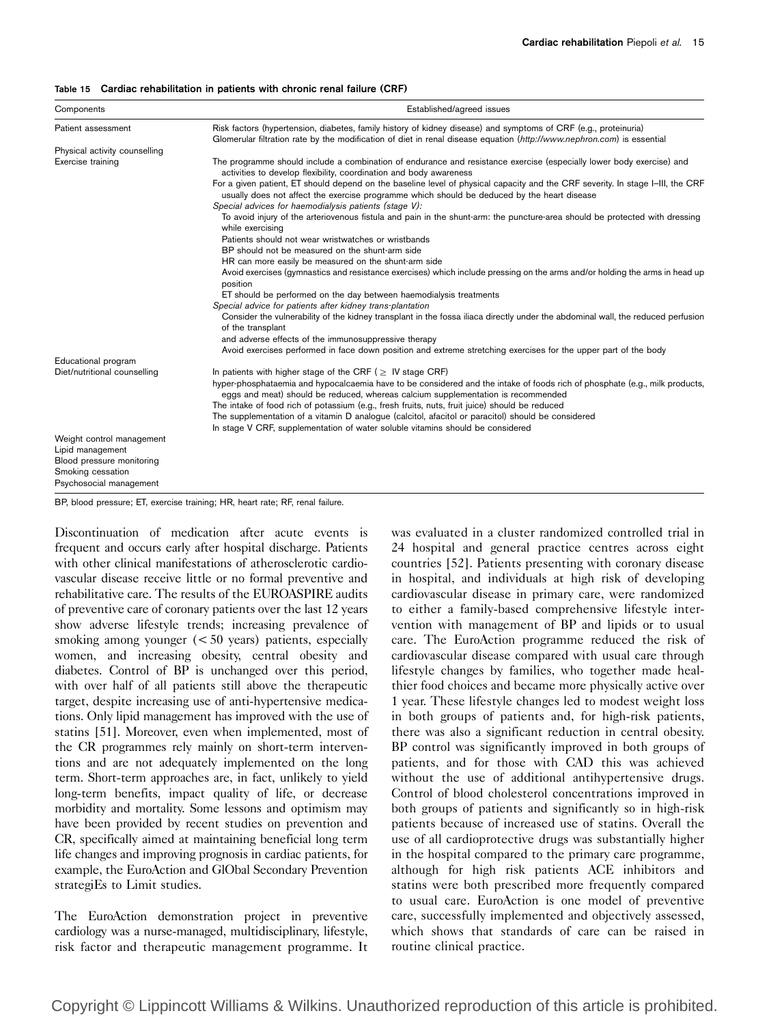|  |  | Table 15 Cardiac rehabilitation in patients with chronic renal failure (CRF) |  |  |  |  |  |  |  |  |
|--|--|------------------------------------------------------------------------------|--|--|--|--|--|--|--|--|
|--|--|------------------------------------------------------------------------------|--|--|--|--|--|--|--|--|

| Components                    | Established/agreed issues                                                                                                                                                                                                                                                              |
|-------------------------------|----------------------------------------------------------------------------------------------------------------------------------------------------------------------------------------------------------------------------------------------------------------------------------------|
| Patient assessment            | Risk factors (hypertension, diabetes, family history of kidney disease) and symptoms of CRF (e.g., proteinuria)<br>Glomerular filtration rate by the modification of diet in renal disease equation (http://www.nephron.com) is essential                                              |
| Physical activity counselling |                                                                                                                                                                                                                                                                                        |
| Exercise training             | The programme should include a combination of endurance and resistance exercise (especially lower body exercise) and<br>activities to develop flexibility, coordination and body awareness                                                                                             |
|                               | For a given patient, ET should depend on the baseline level of physical capacity and the CRF severity. In stage I-III, the CRF<br>usually does not affect the exercise programme which should be deduced by the heart disease<br>Special advices for haemodialysis patients (stage V): |
|                               | To avoid injury of the arteriovenous fistula and pain in the shunt-arm: the puncture-area should be protected with dressing<br>while exercising<br>Patients should not wear wristwatches or wristbands                                                                                 |
|                               | BP should not be measured on the shunt-arm side                                                                                                                                                                                                                                        |
|                               | HR can more easily be measured on the shunt-arm side                                                                                                                                                                                                                                   |
|                               | Avoid exercises (gymnastics and resistance exercises) which include pressing on the arms and/or holding the arms in head up<br>position                                                                                                                                                |
|                               | ET should be performed on the day between haemodialysis treatments                                                                                                                                                                                                                     |
|                               | Special advice for patients after kidney trans-plantation                                                                                                                                                                                                                              |
|                               | Consider the vulnerability of the kidney transplant in the fossa iliaca directly under the abdominal wall, the reduced perfusion<br>of the transplant                                                                                                                                  |
|                               | and adverse effects of the immunosuppressive therapy                                                                                                                                                                                                                                   |
|                               | Avoid exercises performed in face down position and extreme stretching exercises for the upper part of the body                                                                                                                                                                        |
| Educational program           |                                                                                                                                                                                                                                                                                        |
| Diet/nutritional counselling  | In patients with higher stage of the CRF ( $\geq$ IV stage CRF)                                                                                                                                                                                                                        |
|                               | hyper-phosphataemia and hypocalcaemia have to be considered and the intake of foods rich of phosphate (e.g., milk products,                                                                                                                                                            |
|                               | eggs and meat) should be reduced, whereas calcium supplementation is recommended                                                                                                                                                                                                       |
|                               | The intake of food rich of potassium (e.g., fresh fruits, nuts, fruit juice) should be reduced                                                                                                                                                                                         |
|                               | The supplementation of a vitamin D analogue (calcitol, afacitol or paracitol) should be considered<br>In stage V CRF, supplementation of water soluble vitamins should be considered                                                                                                   |
| Weight control management     |                                                                                                                                                                                                                                                                                        |
| Lipid management              |                                                                                                                                                                                                                                                                                        |
| Blood pressure monitoring     |                                                                                                                                                                                                                                                                                        |
| Smoking cessation             |                                                                                                                                                                                                                                                                                        |
| Psychosocial management       |                                                                                                                                                                                                                                                                                        |

BP, blood pressure; ET, exercise training; HR, heart rate; RF, renal failure.

Discontinuation of medication after acute events is frequent and occurs early after hospital discharge. Patients with other clinical manifestations of atherosclerotic cardiovascular disease receive little or no formal preventive and rehabilitative care. The results of the EUROASPIRE audits of preventive care of coronary patients over the last 12 years show adverse lifestyle trends; increasing prevalence of smoking among younger (<50 years) patients, especially women, and increasing obesity, central obesity and diabetes. Control of BP is unchanged over this period, with over half of all patients still above the therapeutic target, despite increasing use of anti-hypertensive medications. Only lipid management has improved with the use of statins [51]. Moreover, even when implemented, most of the CR programmes rely mainly on short-term interventions and are not adequately implemented on the long term. Short-term approaches are, in fact, unlikely to yield long-term benefits, impact quality of life, or decrease morbidity and mortality. Some lessons and optimism may have been provided by recent studies on prevention and CR, specifically aimed at maintaining beneficial long term life changes and improving prognosis in cardiac patients, for example, the EuroAction and GlObal Secondary Prevention strategiEs to Limit studies.

The EuroAction demonstration project in preventive cardiology was a nurse-managed, multidisciplinary, lifestyle, risk factor and therapeutic management programme. It was evaluated in a cluster randomized controlled trial in 24 hospital and general practice centres across eight countries [52]. Patients presenting with coronary disease in hospital, and individuals at high risk of developing cardiovascular disease in primary care, were randomized to either a family-based comprehensive lifestyle intervention with management of BP and lipids or to usual care. The EuroAction programme reduced the risk of cardiovascular disease compared with usual care through lifestyle changes by families, who together made healthier food choices and became more physically active over 1 year. These lifestyle changes led to modest weight loss in both groups of patients and, for high-risk patients, there was also a significant reduction in central obesity. BP control was significantly improved in both groups of patients, and for those with CAD this was achieved without the use of additional antihypertensive drugs. Control of blood cholesterol concentrations improved in both groups of patients and significantly so in high-risk patients because of increased use of statins. Overall the use of all cardioprotective drugs was substantially higher in the hospital compared to the primary care programme, although for high risk patients ACE inhibitors and statins were both prescribed more frequently compared to usual care. EuroAction is one model of preventive care, successfully implemented and objectively assessed, which shows that standards of care can be raised in routine clinical practice.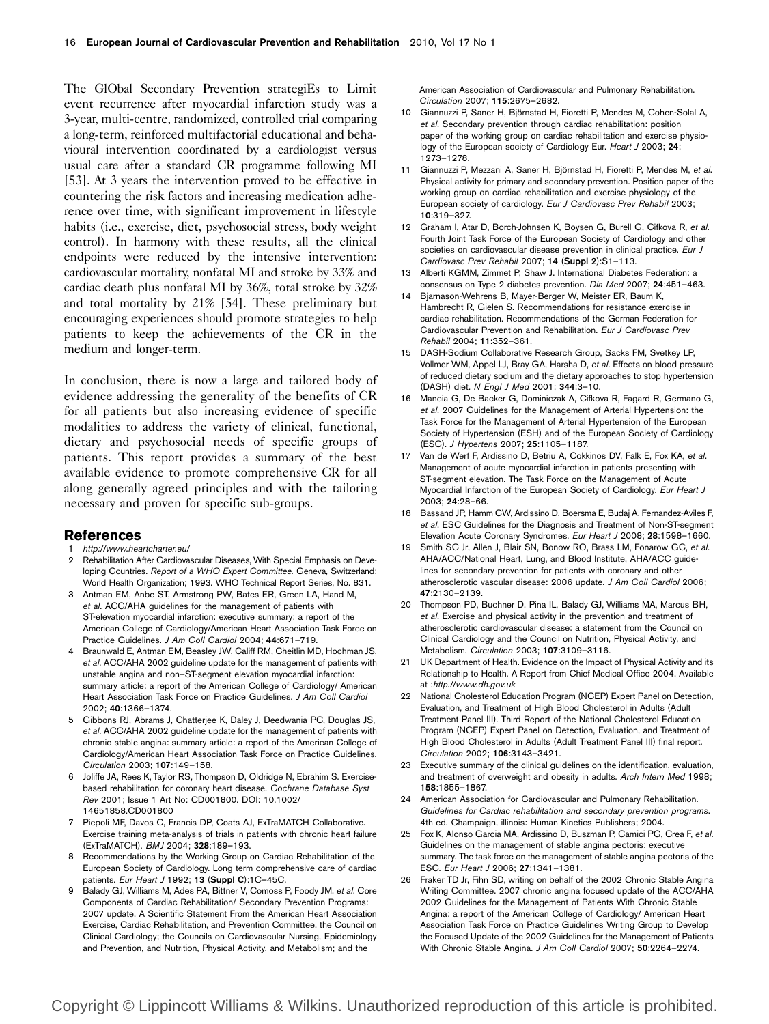The GlObal Secondary Prevention strategiEs to Limit event recurrence after myocardial infarction study was a 3-year, multi-centre, randomized, controlled trial comparing a long-term, reinforced multifactorial educational and behavioural intervention coordinated by a cardiologist versus usual care after a standard CR programme following MI [53]. At 3 years the intervention proved to be effective in countering the risk factors and increasing medication adherence over time, with significant improvement in lifestyle habits (i.e., exercise, diet, psychosocial stress, body weight control). In harmony with these results, all the clinical endpoints were reduced by the intensive intervention: cardiovascular mortality, nonfatal MI and stroke by 33% and cardiac death plus nonfatal MI by 36%, total stroke by 32% and total mortality by 21% [54]. These preliminary but encouraging experiences should promote strategies to help patients to keep the achievements of the CR in the medium and longer-term.

In conclusion, there is now a large and tailored body of evidence addressing the generality of the benefits of CR for all patients but also increasing evidence of specific modalities to address the variety of clinical, functional, dietary and psychosocial needs of specific groups of patients. This report provides a summary of the best available evidence to promote comprehensive CR for all along generally agreed principles and with the tailoring necessary and proven for specific sub-groups.

### References

- 1 http://www.heartcharter.eu/<br>2 Rehabilitation After Cardiova
- 2 Rehabilitation After Cardiovascular Diseases,With Special Emphasis on Developing Countries. Report of a WHO Expert Committee. Geneva, Switzerland: World Health Organization; 1993. WHO Technical Report Series, No. 831.
- 3 Antman EM, Anbe ST, Armstrong PW, Bates ER, Green LA, Hand M, et al. ACC/AHA guidelines for the management of patients with ST-elevation myocardial infarction: executive summary: a report of the American College of Cardiology/American Heart Association Task Force on Practice Guidelines. J Am Coll Cardiol 2004; 44:671–719.
- 4 Braunwald E, Antman EM, Beasley JW, Califf RM, Cheitlin MD, Hochman JS, et al. ACC/AHA 2002 guideline update for the management of patients with unstable angina and non–ST-segment elevation myocardial infarction: summary article: a report of the American College of Cardiology/ American Heart Association Task Force on Practice Guidelines. J Am Coll Cardiol 2002; 40:1366–1374.
- 5 Gibbons RJ, Abrams J, Chatterjee K, Daley J, Deedwania PC, Douglas JS, et al. ACC/AHA 2002 guideline update for the management of patients with chronic stable angina: summary article: a report of the American College of Cardiology/American Heart Association Task Force on Practice Guidelines. Circulation 2003; 107:149–158.
- 6 Joliffe JA, Rees K, Taylor RS, Thompson D, Oldridge N, Ebrahim S. Exercisebased rehabilitation for coronary heart disease. Cochrane Database Syst Rev 2001; Issue 1 Art No: CD001800. DOI: 10.1002/ 14651858.CD001800
- 7 Piepoli MF, Davos C, Francis DP, Coats AJ, ExTraMATCH Collaborative. Exercise training meta-analysis of trials in patients with chronic heart failure (ExTraMATCH). BMJ 2004; 328:189–193.
- Recommendations by the Working Group on Cardiac Rehabilitation of the European Society of Cardiology. Long term comprehensive care of cardiac patients. Eur Heart J 1992; 13 (Suppl C):1C-45C.
- Balady GJ, Williams M, Ades PA, Bittner V, Comoss P, Foody JM, et al. Core Components of Cardiac Rehabilitation/ Secondary Prevention Programs: 2007 update. A Scientific Statement From the American Heart Association Exercise, Cardiac Rehabilitation, and Prevention Committee, the Council on Clinical Cardiology; the Councils on Cardiovascular Nursing, Epidemiology and Prevention, and Nutrition, Physical Activity, and Metabolism; and the

American Association of Cardiovascular and Pulmonary Rehabilitation. Circulation 2007; 115:2675–2682.

- 10 Giannuzzi P, Saner H, Björnstad H, Fioretti P, Mendes M, Cohen-Solal A, et al. Secondary prevention through cardiac rehabilitation: position paper of the working group on cardiac rehabilitation and exercise physiology of the European society of Cardiology Eur. Heart J 2003; 24: 1273–1278.
- 11 Giannuzzi P, Mezzani A, Saner H, Björnstad H, Fioretti P, Mendes M, et al. Physical activity for primary and secondary prevention. Position paper of the working group on cardiac rehabilitation and exercise physiology of the European society of cardiology. Eur J Cardiovasc Prev Rehabil 2003; 10:319–327.
- 12 Graham I, Atar D, Borch-Johnsen K, Boysen G, Burell G, Cifkova R, et al. Fourth Joint Task Force of the European Society of Cardiology and other societies on cardiovascular disease prevention in clinical practice. Eur J Cardiovasc Prev Rehabil 2007; 14 (Suppl 2):S1–113.
- 13 Alberti KGMM, Zimmet P, Shaw J. International Diabetes Federation: a consensus on Type 2 diabetes prevention. Dia Med 2007; 24:451–463.
- 14 Bjarnason-Wehrens B, Mayer-Berger W, Meister ER, Baum K, Hambrecht R, Gielen S. Recommendations for resistance exercise in cardiac rehabilitation. Recommendations of the German Federation for Cardiovascular Prevention and Rehabilitation. Eur J Cardiovasc Prev Rehabil 2004; 11:352–361.
- 15 DASH-Sodium Collaborative Research Group, Sacks FM, Svetkey LP, Vollmer WM, Appel LJ, Bray GA, Harsha D, et al. Effects on blood pressure of reduced dietary sodium and the dietary approaches to stop hypertension (DASH) diet. N Engl J Med 2001; 344:3–10.
- 16 Mancia G, De Backer G, Dominiczak A, Cifkova R, Fagard R, Germano G, et al. 2007 Guidelines for the Management of Arterial Hypertension: the Task Force for the Management of Arterial Hypertension of the European Society of Hypertension (ESH) and of the European Society of Cardiology (ESC). J Hypertens 2007; 25:1105–1187.
- Van de Werf F, Ardissino D, Betriu A, Cokkinos DV, Falk E, Fox KA, et al. Management of acute myocardial infarction in patients presenting with ST-segment elevation. The Task Force on the Management of Acute Myocardial Infarction of the European Society of Cardiology. Eur Heart J 2003; 24:28–66.
- 18 Bassand JP, Hamm CW, Ardissino D, Boersma E, Budaj A, Fernandez-Aviles F, et al. ESC Guidelines for the Diagnosis and Treatment of Non-ST-segment Elevation Acute Coronary Syndromes. Eur Heart J 2008; 28:1598–1660.
- 19 Smith SC Jr, Allen J, Blair SN, Bonow RO, Brass LM, Fonarow GC, et al. AHA/ACC/National Heart, Lung, and Blood Institute, AHA/ACC guidelines for secondary prevention for patients with coronary and other atherosclerotic vascular disease: 2006 update. J Am Coll Cardiol 2006; 47:2130–2139.
- 20 Thompson PD, Buchner D, Pina IL, Balady GJ, Williams MA, Marcus BH, et al. Exercise and physical activity in the prevention and treatment of atherosclerotic cardiovascular disease: a statement from the Council on Clinical Cardiology and the Council on Nutrition, Physical Activity, and Metabolism. Circulation 2003; 107:3109–3116.
- 21 UK Department of Health. Evidence on the Impact of Physical Activity and its Relationship to Health. A Report from Chief Medical Office 2004. Available at :http.//www.dh.gov.uk
- 22 National Cholesterol Education Program (NCEP) Expert Panel on Detection, Evaluation, and Treatment of High Blood Cholesterol in Adults (Adult Treatment Panel III). Third Report of the National Cholesterol Education Program (NCEP) Expert Panel on Detection, Evaluation, and Treatment of High Blood Cholesterol in Adults (Adult Treatment Panel III) final report. Circulation 2002; 106:3143–3421.
- 23 Executive summary of the clinical guidelines on the identification, evaluation, and treatment of overweight and obesity in adults. Arch Intern Med 1998; 158:1855–1867.
- 24 American Association for Cardiovascular and Pulmonary Rehabilitation. Guidelines for Cardiac rehabilitation and secondary prevention programs. 4th ed. Champaign, illinois: Human Kinetics Publishers; 2004.
- 25 Fox K, Alonso Garcia MA, Ardissino D, Buszman P, Camici PG, Crea F, et al. Guidelines on the management of stable angina pectoris: executive summary. The task force on the management of stable angina pectoris of the ESC. Eur Heart J 2006; 27:1341–1381.
- 26 Fraker TD Jr, Fihn SD, writing on behalf of the 2002 Chronic Stable Angina Writing Committee. 2007 chronic angina focused update of the ACC/AHA 2002 Guidelines for the Management of Patients With Chronic Stable Angina: a report of the American College of Cardiology/ American Heart Association Task Force on Practice Guidelines Writing Group to Develop the Focused Update of the 2002 Guidelines for the Management of Patients With Chronic Stable Angina. J Am Coll Cardiol 2007; 50:2264–2274.